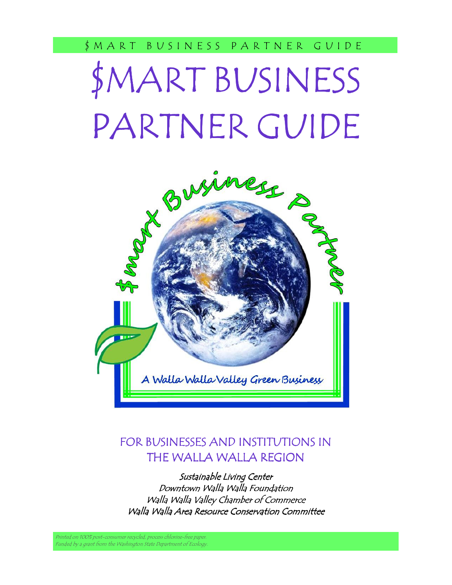# \$MART BUSINESS PARTNER GUIDE



# FOR BUSINESSES AND INSTITUTIONS IN THE WALLA WALLA REGION

Sustainable Living Center Downtown Walla Walla Foundation Walla Walla Valley Chamber of Commerce Walla Walla Area Resource Conservation Committee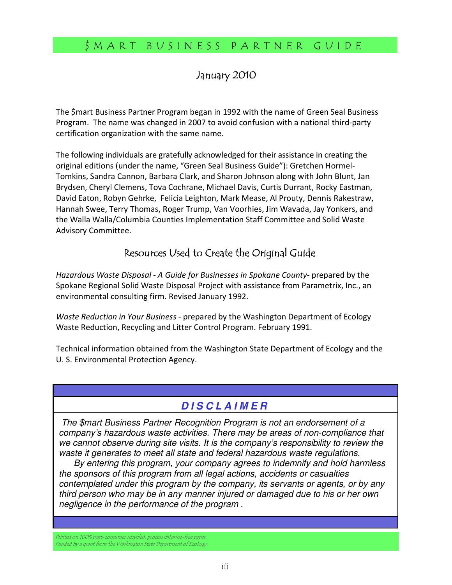#### January 2010

The \$mart Business Partner Program began in 1992 with the name of Green Seal Business Program. The name was changed in 2007 to avoid confusion with a national third-party certification organization with the same name.

The following individuals are gratefully acknowledged for their assistance in creating the original editions (under the name, "Green Seal Business Guide"): Gretchen Hormel-Tomkins, Sandra Cannon, Barbara Clark, and Sharon Johnson along with John Blunt, Jan Brydsen, Cheryl Clemens, Tova Cochrane, Michael Davis, Curtis Durrant, Rocky Eastman, David Eaton, Robyn Gehrke, Felicia Leighton, Mark Mease, Al Prouty, Dennis Rakestraw, Hannah Swee, Terry Thomas, Roger Trump, Van Voorhies, Jim Wavada, Jay Yonkers, and the Walla Walla/Columbia Counties Implementation Staff Committee and Solid Waste Advisory Committee.

# Resources Used to Create the Original Guide

Hazardous Waste Disposal - A Guide for Businesses in Spokane County- prepared by the Spokane Regional Solid Waste Disposal Project with assistance from Parametrix, Inc., an environmental consulting firm. Revised January 1992.

Waste Reduction in Your Business - prepared by the Washington Department of Ecology Waste Reduction, Recycling and Litter Control Program. February 1991.

Technical information obtained from the Washington State Department of Ecology and the U. S. Environmental Protection Agency.

## **D I S C L A I M E R**

j The \$mart Business Partner Recognition Program is not an endorsement of a company's hazardous waste activities. There may be areas of non-compliance that we cannot observe during site visits. It is the company's responsibility to review the waste it generates to meet all state and federal hazardous waste regulations.

 By entering this program, your company agrees to indemnify and hold harmless the sponsors of this program from all legal actions, accidents or casualties contemplated under this program by the company, its servants or agents, or by any third person who may be in any manner injured or damaged due to his or her own negligence in the performance of the program .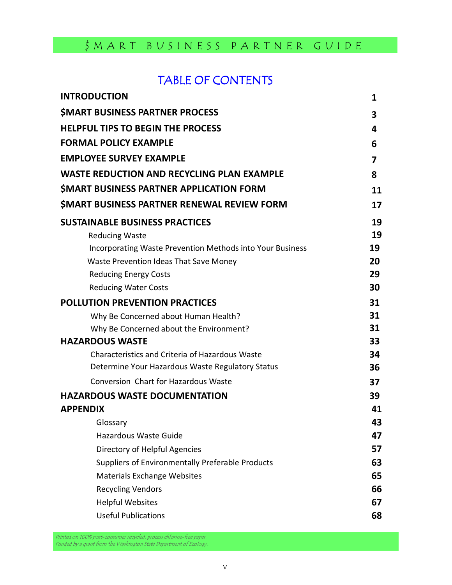# TABLE OF CONTENTS

| <b>INTRODUCTION</b>                                       | 1                       |
|-----------------------------------------------------------|-------------------------|
| <b>SMART BUSINESS PARTNER PROCESS</b>                     | 3                       |
| <b>HELPFUL TIPS TO BEGIN THE PROCESS</b>                  | 4                       |
| <b>FORMAL POLICY EXAMPLE</b>                              | 6                       |
| <b>EMPLOYEE SURVEY EXAMPLE</b>                            | $\overline{\mathbf{z}}$ |
| <b>WASTE REDUCTION AND RECYCLING PLAN EXAMPLE</b>         | 8                       |
| SMART BUSINESS PARTNER APPLICATION FORM                   | 11                      |
| <b>SMART BUSINESS PARTNER RENEWAL REVIEW FORM</b>         | 17                      |
| <b>SUSTAINABLE BUSINESS PRACTICES</b>                     | 19                      |
| <b>Reducing Waste</b>                                     | 19                      |
| Incorporating Waste Prevention Methods into Your Business | 19                      |
| Waste Prevention Ideas That Save Money                    | 20                      |
| <b>Reducing Energy Costs</b>                              | 29                      |
| <b>Reducing Water Costs</b>                               | 30                      |
| <b>POLLUTION PREVENTION PRACTICES</b>                     | 31                      |
| Why Be Concerned about Human Health?                      | 31                      |
| Why Be Concerned about the Environment?                   | 31                      |
| <b>HAZARDOUS WASTE</b>                                    | 33                      |
| Characteristics and Criteria of Hazardous Waste           | 34                      |
| Determine Your Hazardous Waste Regulatory Status          | 36                      |
| Conversion Chart for Hazardous Waste                      | 37                      |
| <b>HAZARDOUS WASTE DOCUMENTATION</b>                      | 39                      |
| <b>APPENDIX</b>                                           | 41                      |
| Glossary                                                  | 43                      |
| Hazardous Waste Guide                                     | 47                      |
| Directory of Helpful Agencies                             | 57                      |
| Suppliers of Environmentally Preferable Products          | 63                      |
| <b>Materials Exchange Websites</b>                        | 65                      |
| <b>Recycling Vendors</b>                                  | 66                      |
| <b>Helpful Websites</b>                                   | 67                      |
| <b>Useful Publications</b>                                | 68                      |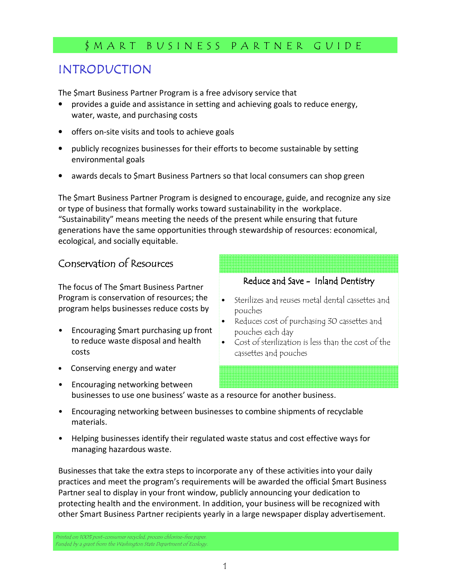# INTRODUCTION

The \$mart Business Partner Program is a free advisory service that

- provides a guide and assistance in setting and achieving goals to reduce energy, water, waste, and purchasing costs
- offers on-site visits and tools to achieve goals
- publicly recognizes businesses for their efforts to become sustainable by setting environmental goals
- awards decals to \$mart Business Partners so that local consumers can shop green

The \$mart Business Partner Program is designed to encourage, guide, and recognize any size or type of business that formally works toward sustainability in the workplace. "Sustainability" means meeting the needs of the present while ensuring that future generations have the same opportunities through stewardship of resources: economical, ecological, and socially equitable.

# Conservation of Resources

The focus of The \$mart Business Partner Program is conservation of resources; the program helps businesses reduce costs by

- Encouraging \$mart purchasing up front to reduce waste disposal and health costs
- Conserving energy and water
- Encouraging networking between businesses to use one business' waste as a resource for another business.
- Encouraging networking between businesses to combine shipments of recyclable materials.
- Helping businesses identify their regulated waste status and cost effective ways for managing hazardous waste.

Businesses that take the extra steps to incorporate any of these activities into your daily practices and meet the program's requirements will be awarded the official \$mart Business Partner seal to display in your front window, publicly announcing your dedication to protecting health and the environment. In addition, your business will be recognized with other \$mart Business Partner recipients yearly in a large newspaper display advertisement.

Printed on 100% post-consumer recycled, process chlorine-free paper. Funded by a grant from the Washington State Department of Ecology.

#### Reduce and Save - Inland Dentistry

- Sterilizes and reuses metal dental cassettes and pouches
- Reduces cost of purchasing 30 cassettes and pouches each day
- Cost of sterilization is less than the cost of the cassettes and pouches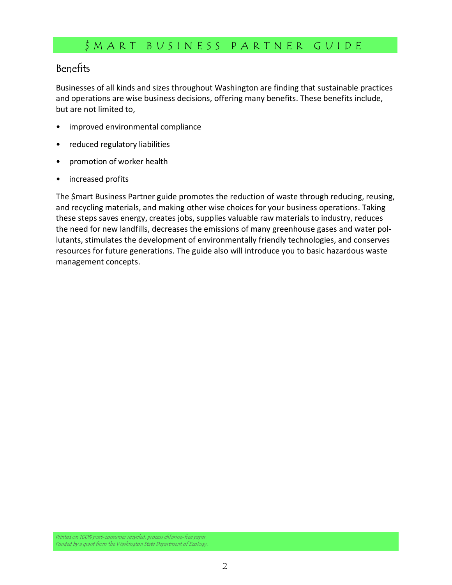# Benefits

Businesses of all kinds and sizes throughout Washington are finding that sustainable practices and operations are wise business decisions, offering many benefits. These benefits include, but are not limited to,

- improved environmental compliance
- reduced regulatory liabilities
- promotion of worker health
- increased profits

The \$mart Business Partner guide promotes the reduction of waste through reducing, reusing, and recycling materials, and making other wise choices for your business operations. Taking these steps saves energy, creates jobs, supplies valuable raw materials to industry, reduces the need for new landfills, decreases the emissions of many greenhouse gases and water pollutants, stimulates the development of environmentally friendly technologies, and conserves resources for future generations. The guide also will introduce you to basic hazardous waste management concepts.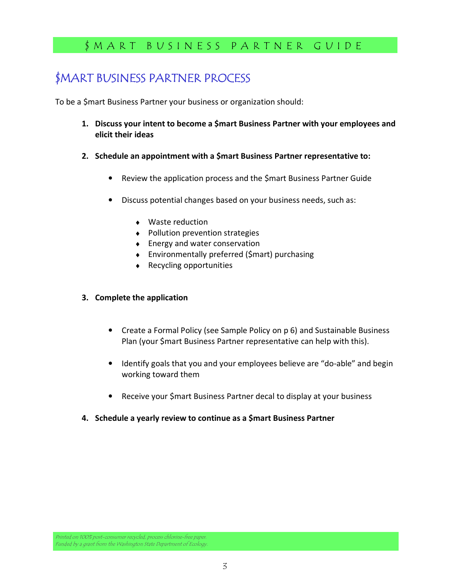# \$MART BUSINESS PARTNER PROCESS

To be a \$mart Business Partner your business or organization should:

- 1. Discuss your intent to become a \$mart Business Partner with your employees and elicit their ideas
- 2. Schedule an appointment with a \$mart Business Partner representative to:
	- Review the application process and the \$mart Business Partner Guide
	- Discuss potential changes based on your business needs, such as:
		- ♦ Waste reduction
		- ♦ Pollution prevention strategies
		- ♦ Energy and water conservation
		- ♦ Environmentally preferred (\$mart) purchasing
		- ♦ Recycling opportunities

#### 3. Complete the application

- Create a Formal Policy (see Sample Policy on p 6) and Sustainable Business Plan (your \$mart Business Partner representative can help with this).
- Identify goals that you and your employees believe are "do-able" and begin working toward them
- Receive your \$mart Business Partner decal to display at your business
- 4. Schedule a yearly review to continue as a \$mart Business Partner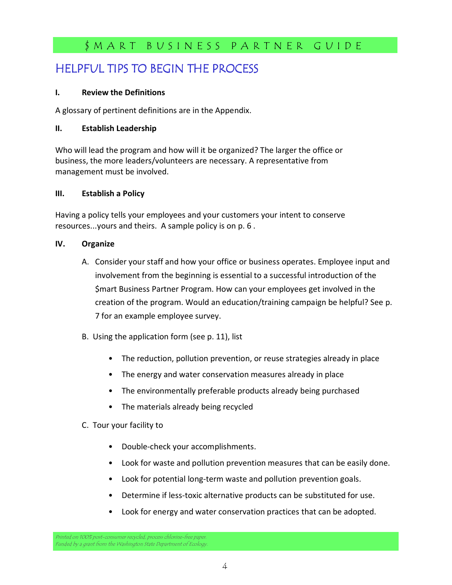# HELPFUL TIPS TO BEGIN THE PROCESS

#### I. Review the Definitions

A glossary of pertinent definitions are in the Appendix.

#### II. Establish Leadership

Who will lead the program and how will it be organized? The larger the office or business, the more leaders/volunteers are necessary. A representative from management must be involved.

#### III. Establish a Policy

Having a policy tells your employees and your customers your intent to conserve resources...yours and theirs. A sample policy is on p. 6 .

#### IV. Organize

- A. Consider your staff and how your office or business operates. Employee input and involvement from the beginning is essential to a successful introduction of the \$mart Business Partner Program. How can your employees get involved in the creation of the program. Would an education/training campaign be helpful? See p. 7 for an example employee survey.
- B. Using the application form (see p. 11), list
	- The reduction, pollution prevention, or reuse strategies already in place
	- The energy and water conservation measures already in place
	- The environmentally preferable products already being purchased
	- The materials already being recycled

#### C. Tour your facility to

- Double-check your accomplishments.
- Look for waste and pollution prevention measures that can be easily done.
- Look for potential long-term waste and pollution prevention goals.
- Determine if less-toxic alternative products can be substituted for use.
- Look for energy and water conservation practices that can be adopted.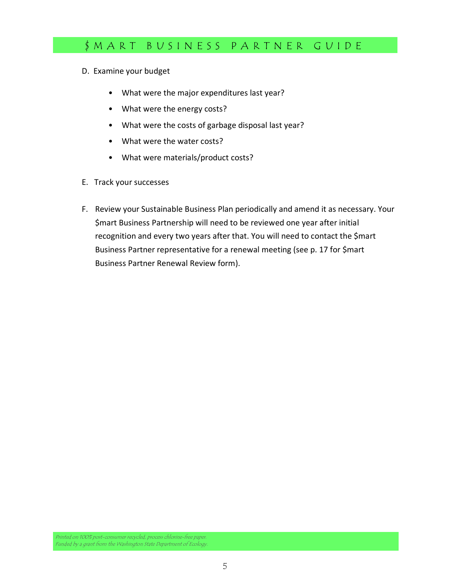- D. Examine your budget
	- What were the major expenditures last year?
	- What were the energy costs?
	- What were the costs of garbage disposal last year?
	- What were the water costs?
	- What were materials/product costs?
- E. Track your successes
- F. Review your Sustainable Business Plan periodically and amend it as necessary. Your \$mart Business Partnership will need to be reviewed one year after initial recognition and every two years after that. You will need to contact the \$mart Business Partner representative for a renewal meeting (see p. 17 for \$mart Business Partner Renewal Review form).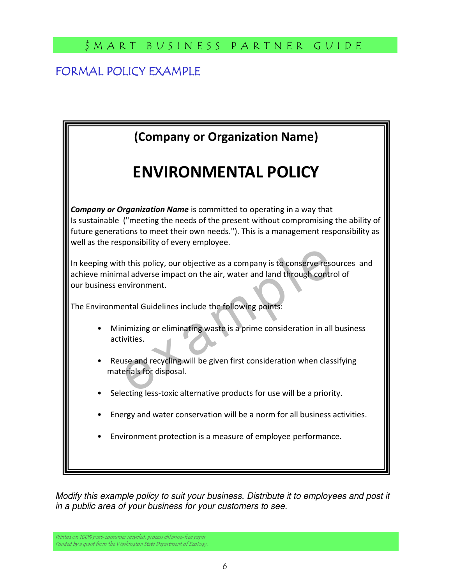# FORMAL POLICY EXAMPLE

| (Company or Organization Name)                                                                                                                                                                                                                                                                                 |
|----------------------------------------------------------------------------------------------------------------------------------------------------------------------------------------------------------------------------------------------------------------------------------------------------------------|
| <b>ENVIRONMENTAL POLICY</b>                                                                                                                                                                                                                                                                                    |
| <b>Company or Organization Name</b> is committed to operating in a way that<br>Is sustainable ("meeting the needs of the present without compromising the ability of<br>future generations to meet their own needs."). This is a management responsibility as<br>well as the responsibility of every employee. |
| In keeping with this policy, our objective as a company is to conserve resources and<br>achieve minimal adverse impact on the air, water and land through control of<br>our business environment.                                                                                                              |
| The Environmental Guidelines include the following points:                                                                                                                                                                                                                                                     |
| Minimizing or eliminating waste is a prime consideration in all business<br>activities.                                                                                                                                                                                                                        |
| Reuse and recycling will be given first consideration when classifying<br>materials for disposal.                                                                                                                                                                                                              |
| Selecting less-toxic alternative products for use will be a priority.                                                                                                                                                                                                                                          |
| Energy and water conservation will be a norm for all business activities.                                                                                                                                                                                                                                      |
| Environment protection is a measure of employee performance.                                                                                                                                                                                                                                                   |
|                                                                                                                                                                                                                                                                                                                |

Modify this example policy to suit your business. Distribute it to employees and post it in a public area of your business for your customers to see.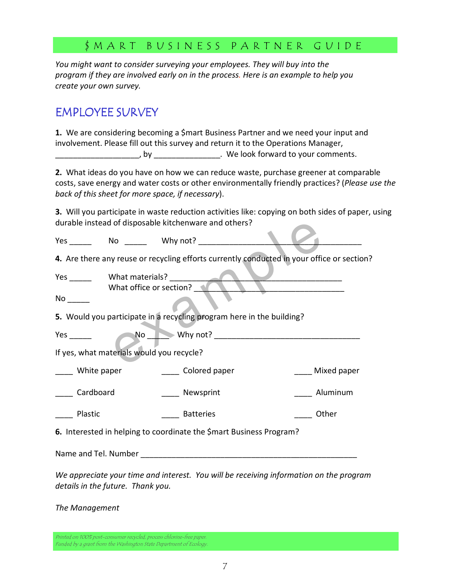You might want to consider surveying your employees. They will buy into the program if they are involved early on in the process. Here is an example to help you create your own survey.

# EMPLOYEE SURVEY

1. We are considering becoming a \$mart Business Partner and we need your input and involvement. Please fill out this survey and return it to the Operations Manager,

\_\_\_\_\_\_\_\_\_\_\_\_\_\_\_\_\_\_\_, by \_\_\_\_\_\_\_\_\_\_\_\_\_\_\_. We look forward to your comments.

2. What ideas do you have on how we can reduce waste, purchase greener at comparable costs, save energy and water costs or other environmentally friendly practices? (*Please use the* back of this sheet for more space, if necessary).

3. Will you participate in waste reduction activities like: copying on both sides of paper, using durable instead of disposable kitchenware and others?

|     | durable instead of disposable kitchenware and others?                                      |                        |  |  |
|-----|--------------------------------------------------------------------------------------------|------------------------|--|--|
| Yes | No Why not?                                                                                |                        |  |  |
|     | 4. Are there any reuse or recycling efforts currently conducted in your office or section? |                        |  |  |
| Yes | What materials?<br>What office or section?                                                 |                        |  |  |
| No  |                                                                                            |                        |  |  |
|     | 5. Would you participate in a recycling program here in the building?                      |                        |  |  |
| Yes |                                                                                            | $\mathsf{No}$ Why not? |  |  |
|     | If yes, what materials would you recycle?                                                  |                        |  |  |

|  | White paper | Colored paper | Mixed paper |
|--|-------------|---------------|-------------|
|--|-------------|---------------|-------------|

Cardboard **Cardboard Newsprint Cardboard Cardboard Cardboard Cardboard Cardboard Cardboard Cardboard Cardboard Cardboard Cardboard Cardboard Cardboard Cardboard Cardboard Cardboard Cardboa** 

Plastic **Executive Batteries Contact Plastic** Different Plastic

6. Interested in helping to coordinate the \$mart Business Program?

Name and Tel. Number **Name and Tel.** Number

We appreciate your time and interest. You will be receiving information on the program details in the future. Thank you.

The Management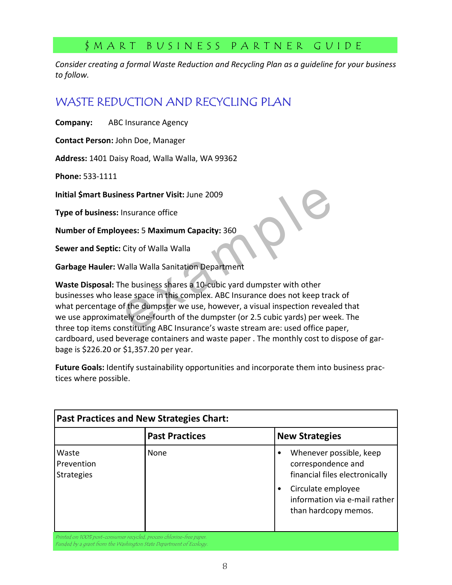Consider creating a formal Waste Reduction and Recycling Plan as a guideline for your business to follow.

# WASTE REDUCTION AND RECYCLING PLAN

Company: ABC Insurance Agency

Contact Person: John Doe, Manager

Address: 1401 Daisy Road, Walla Walla, WA 99362

Phone: 533-1111

Initial \$mart Business Partner Visit: June 2009

Type of business: Insurance office

Number of Employees: 5 Maximum Capacity: 360

Sewer and Septic: City of Walla Walla

Garbage Hauler: Walla Walla Sanitation Department

**Example 18 Section 2009**<br> **Example 18 Section 2009**<br> **Example 18 Section 2009**<br> **Example 18 Section 2009**<br> **Example 18 Section 2009**<br> **Example 18 Section 2009**<br> **Example 10 Section 2009**<br> **Example 2009**<br> **Example 2009**<br> Waste Disposal: The business shares a 10-cubic yard dumpster with other businesses who lease space in this complex. ABC Insurance does not keep track of what percentage of the dumpster we use, however, a visual inspection revealed that we use approximately one-fourth of the dumpster (or 2.5 cubic yards) per week. The three top items constituting ABC Insurance's waste stream are: used office paper, cardboard, used beverage containers and waste paper . The monthly cost to dispose of garbage is \$226.20 or \$1,357.20 per year.

Future Goals: Identify sustainability opportunities and incorporate them into business practices where possible.

| <b>New Strategies</b>                                                                                                                                          |
|----------------------------------------------------------------------------------------------------------------------------------------------------------------|
| Whenever possible, keep<br>correspondence and<br>financial files electronically<br>Circulate employee<br>information via e-mail rather<br>than hardcopy memos. |
|                                                                                                                                                                |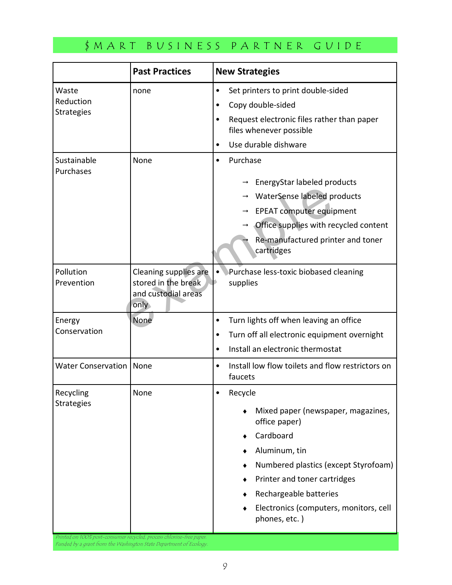|                                         | <b>Past Practices</b>                                                       | <b>New Strategies</b>                                                                                                                                                                                                                                     |
|-----------------------------------------|-----------------------------------------------------------------------------|-----------------------------------------------------------------------------------------------------------------------------------------------------------------------------------------------------------------------------------------------------------|
| Waste<br>Reduction<br><b>Strategies</b> | none                                                                        | Set printers to print double-sided<br>Copy double-sided<br>Request electronic files rather than paper<br>files whenever possible<br>Use durable dishware                                                                                                  |
| Sustainable<br>Purchases                | None                                                                        | Purchase<br>EnergyStar labeled products<br>WaterSense labeled products<br><b>EPEAT computer equipment</b><br>Office supplies with recycled content<br>Re-manufactured printer and toner<br>cartridges                                                     |
| Pollution<br>Prevention                 | Cleaning supplies are<br>stored in the break<br>and custodial areas<br>only | Purchase less-toxic biobased cleaning<br>supplies                                                                                                                                                                                                         |
| Energy<br>Conservation                  | None                                                                        | Turn lights off when leaving an office<br>٠<br>Turn off all electronic equipment overnight<br>Install an electronic thermostat                                                                                                                            |
| Water Conservation   None               |                                                                             | Install low flow toilets and flow restrictors on<br>$\bullet$<br>faucets                                                                                                                                                                                  |
| Recycling<br><b>Strategies</b>          | None                                                                        | Recycle<br>Mixed paper (newspaper, magazines,<br>office paper)<br>Cardboard<br>Aluminum, tin<br>Numbered plastics (except Styrofoam)<br>Printer and toner cartridges<br>Rechargeable batteries<br>Electronics (computers, monitors, cell<br>phones, etc.) |

Funded by a grant from the Washington State Department of Ecc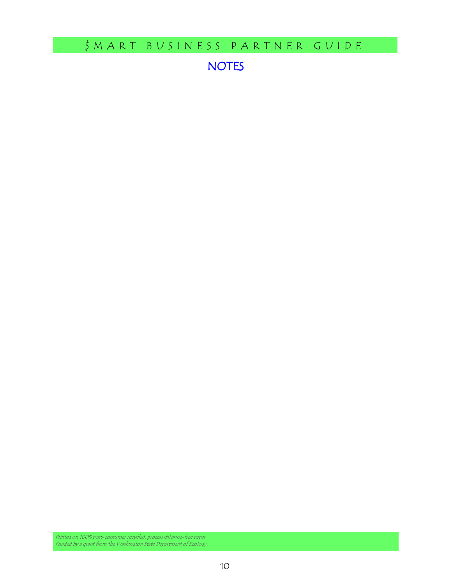NOTES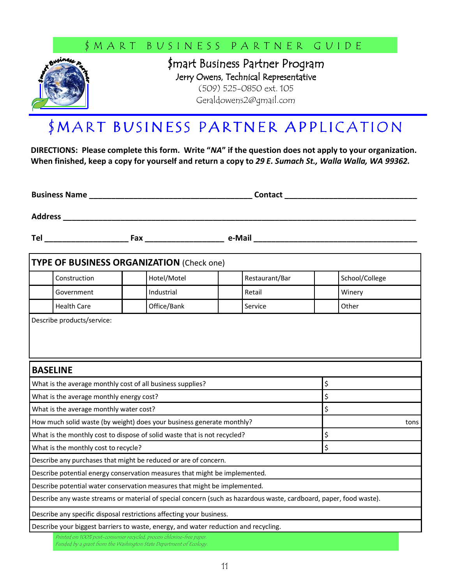

\$mart Business Partner Program Jerry Owens, Technical Representative (509) 525-0850 ext. 105 Geraldowens2@gmail.com

# \$ MART BUSINESS PARTNER APPLICATION

DIRECTIONS: Please complete this form. Write "NA" if the question does not apply to your organization. When finished, keep a copy for yourself and return a copy to 29 E. Sumach St., Walla Walla, WA 99362.

Business Name \_\_\_\_\_\_\_\_\_\_\_\_\_\_\_\_\_\_\_\_\_\_\_\_\_\_\_\_\_\_\_\_\_\_\_\_\_ Contact \_\_\_\_\_\_\_\_\_\_\_\_\_\_\_\_\_\_\_\_\_\_\_\_\_\_\_\_\_\_

Address \_\_\_\_\_\_\_\_\_\_\_\_\_\_\_\_\_\_\_\_\_\_\_\_\_\_\_\_\_\_\_\_\_\_\_\_\_\_\_\_\_\_\_\_\_\_\_\_\_\_\_\_\_\_\_\_\_\_\_\_\_\_\_\_\_\_\_\_\_\_\_\_\_\_\_\_\_\_\_\_

Tel \_\_\_\_\_\_\_\_\_\_\_\_\_\_\_\_\_\_\_ Fax \_\_\_\_\_\_\_\_\_\_\_\_\_\_\_\_\_\_ e-Mail \_\_\_\_\_\_\_\_\_\_\_\_\_\_\_\_\_\_\_\_\_\_\_\_\_\_\_\_\_\_\_\_\_\_\_\_\_

| <b>TYPE OF BUSINESS ORGANIZATION (Check one)</b>                                    |             |                                                                                                                    |                |
|-------------------------------------------------------------------------------------|-------------|--------------------------------------------------------------------------------------------------------------------|----------------|
| Construction                                                                        | Hotel/Motel | Restaurant/Bar                                                                                                     | School/College |
| Government                                                                          | Industrial  | Retail                                                                                                             | Winery         |
| <b>Health Care</b>                                                                  | Office/Bank | Service                                                                                                            | Other          |
| Describe products/service:                                                          |             |                                                                                                                    |                |
| <b>BASELINE</b>                                                                     |             |                                                                                                                    |                |
| What is the average monthly cost of all business supplies?                          |             |                                                                                                                    | \$             |
| \$<br>What is the average monthly energy cost?                                      |             |                                                                                                                    |                |
| What is the average monthly water cost?                                             |             |                                                                                                                    | \$             |
| How much solid waste (by weight) does your business generate monthly?               |             |                                                                                                                    | tons           |
| What is the monthly cost to dispose of solid waste that is not recycled?            |             |                                                                                                                    | \$             |
| What is the monthly cost to recycle?                                                |             |                                                                                                                    | \$             |
| Describe any purchases that might be reduced or are of concern.                     |             |                                                                                                                    |                |
| Describe potential energy conservation measures that might be implemented.          |             |                                                                                                                    |                |
| Describe potential water conservation measures that might be implemented.           |             |                                                                                                                    |                |
|                                                                                     |             | Describe any waste streams or material of special concern (such as hazardous waste, cardboard, paper, food waste). |                |
| Describe any specific disposal restrictions affecting your business.                |             |                                                                                                                    |                |
| Describe your biggest barriers to waste, energy, and water reduction and recycling. |             |                                                                                                                    |                |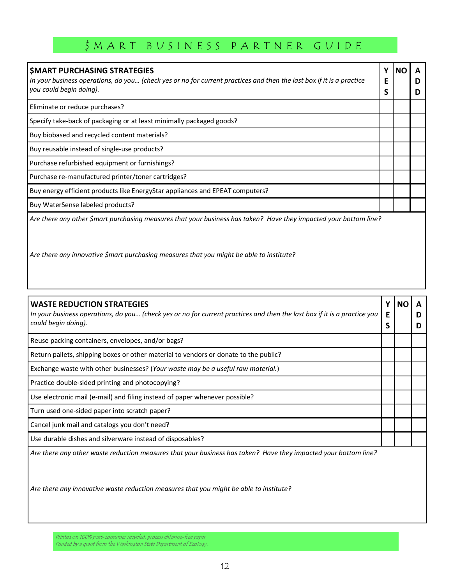| <b>SMART PURCHASING STRATEGIES</b><br>In your business operations, do you (check yes or no for current practices and then the last box if it is a practice<br>you could begin doing). | NO |  |
|---------------------------------------------------------------------------------------------------------------------------------------------------------------------------------------|----|--|
| Eliminate or reduce purchases?                                                                                                                                                        |    |  |
| Specify take-back of packaging or at least minimally packaged goods?                                                                                                                  |    |  |
| Buy biobased and recycled content materials?                                                                                                                                          |    |  |
| Buy reusable instead of single-use products?                                                                                                                                          |    |  |
| Purchase refurbished equipment or furnishings?                                                                                                                                        |    |  |
| Purchase re-manufactured printer/toner cartridges?                                                                                                                                    |    |  |
| Buy energy efficient products like EnergyStar appliances and EPEAT computers?                                                                                                         |    |  |
| Buy WaterSense labeled products?                                                                                                                                                      |    |  |
| Are there any other \$mart purchasing measures that your business has taken? Have they impacted your bottom line?                                                                     |    |  |

Are there any innovative \$mart purchasing measures that you might be able to institute?

| <b>WASTE REDUCTION STRATEGIES</b>                                                                                        | <b>NO</b> | A |
|--------------------------------------------------------------------------------------------------------------------------|-----------|---|
| In your business operations, do you (check yes or no for current practices and then the last box if it is a practice you |           | D |
| could begin doing).                                                                                                      |           | D |
| Reuse packing containers, envelopes, and/or bags?                                                                        |           |   |
| Return pallets, shipping boxes or other material to vendors or donate to the public?                                     |           |   |
| Exchange waste with other businesses? (Your waste may be a useful raw material.)                                         |           |   |
| Practice double-sided printing and photocopying?                                                                         |           |   |
| Use electronic mail (e-mail) and filing instead of paper whenever possible?                                              |           |   |
| Turn used one-sided paper into scratch paper?                                                                            |           |   |
| Cancel junk mail and catalogs you don't need?                                                                            |           |   |
| Use durable dishes and silverware instead of disposables?                                                                |           |   |
| Are there any other waste reduction measures that your business has taken? Have they impacted your bottom line?          |           |   |

Are there any innovative waste reduction measures that you might be able to institute?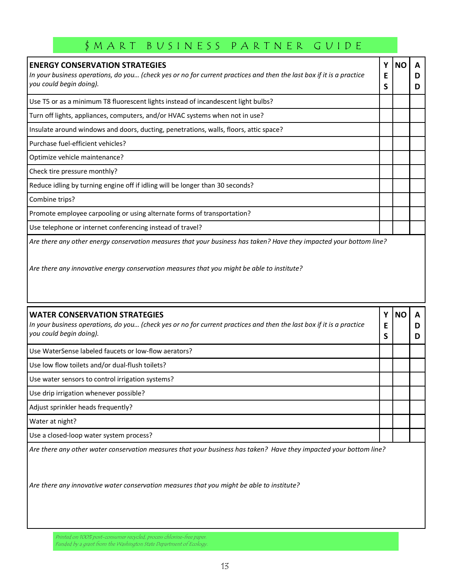| <b>ENERGY CONSERVATION STRATEGIES</b><br>In your business operations, do you (check yes or no for current practices and then the last box if it is a practice<br>you could begin doing). | Ε<br>S | NΟ | D<br>D |
|------------------------------------------------------------------------------------------------------------------------------------------------------------------------------------------|--------|----|--------|
| Use T5 or as a minimum T8 fluorescent lights instead of incandescent light bulbs?                                                                                                        |        |    |        |
| Turn off lights, appliances, computers, and/or HVAC systems when not in use?                                                                                                             |        |    |        |
| Insulate around windows and doors, ducting, penetrations, walls, floors, attic space?                                                                                                    |        |    |        |
| Purchase fuel-efficient vehicles?                                                                                                                                                        |        |    |        |
| Optimize vehicle maintenance?                                                                                                                                                            |        |    |        |
| Check tire pressure monthly?                                                                                                                                                             |        |    |        |
| Reduce idling by turning engine off if idling will be longer than 30 seconds?                                                                                                            |        |    |        |
| Combine trips?                                                                                                                                                                           |        |    |        |
| Promote employee carpooling or using alternate forms of transportation?                                                                                                                  |        |    |        |
| Use telephone or internet conferencing instead of travel?                                                                                                                                |        |    |        |
| Are there any other energy conservation measures that your business has taken? Have they impacted your bottom line?                                                                      |        |    |        |

Are there any innovative energy conservation measures that you might be able to institute?

| <b>WATER CONSERVATION STRATEGIES</b><br>In your business operations, do you (check yes or no for current practices and then the last box if it is a practice<br>you could begin doing). | Υ<br>Ε | <b>NO</b> |  |
|-----------------------------------------------------------------------------------------------------------------------------------------------------------------------------------------|--------|-----------|--|
| Use WaterSense labeled faucets or low-flow aerators?                                                                                                                                    |        |           |  |
| Use low flow toilets and/or dual-flush toilets?                                                                                                                                         |        |           |  |
| Use water sensors to control irrigation systems?                                                                                                                                        |        |           |  |
| Use drip irrigation whenever possible?                                                                                                                                                  |        |           |  |
| Adjust sprinkler heads frequently?                                                                                                                                                      |        |           |  |
| Water at night?                                                                                                                                                                         |        |           |  |
| Use a closed-loop water system process?                                                                                                                                                 |        |           |  |
| Are there any other water conservation measures that your business has taken? Have they impacted your bottom line?                                                                      |        |           |  |

Are there any innovative water conservation measures that you might be able to institute?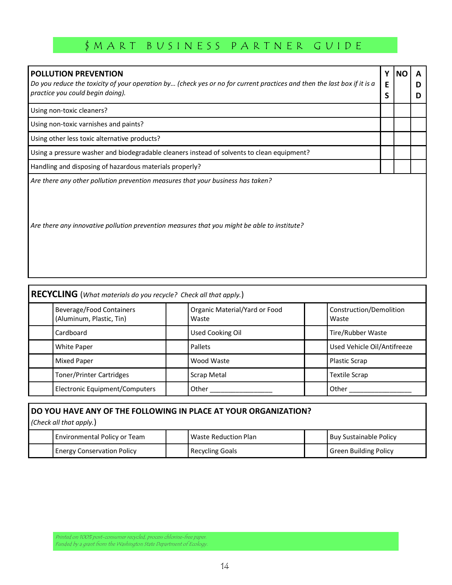| <b>POLLUTION PREVENTION</b><br>Do you reduce the toxicity of your operation by (check yes or no for current practices and then the last box if it is a<br>practice you could begin doing). | Υ<br>F | <b>NO</b> | A<br>D |
|--------------------------------------------------------------------------------------------------------------------------------------------------------------------------------------------|--------|-----------|--------|
| Using non-toxic cleaners?                                                                                                                                                                  | S      |           | D      |
| Using non-toxic varnishes and paints?                                                                                                                                                      |        |           |        |
| Using other less toxic alternative products?                                                                                                                                               |        |           |        |
| Using a pressure washer and biodegradable cleaners instead of solvents to clean equipment?                                                                                                 |        |           |        |
| Handling and disposing of hazardous materials properly?                                                                                                                                    |        |           |        |
| Are there any other pollution prevention measures that your business has taken?<br>Are there any innovative pollution prevention measures that you might be able to institute?             |        |           |        |

| $ {\sf RECYCLING}$ (What materials do you recycle? Check all that apply.) |                                                             |  |                                        |  |                                  |  |
|---------------------------------------------------------------------------|-------------------------------------------------------------|--|----------------------------------------|--|----------------------------------|--|
|                                                                           | <b>Beverage/Food Containers</b><br>(Aluminum, Plastic, Tin) |  | Organic Material/Yard or Food<br>Waste |  | Construction/Demolition<br>Waste |  |
|                                                                           | Cardboard                                                   |  | <b>Used Cooking Oil</b>                |  | Tire/Rubber Waste                |  |
|                                                                           | <b>White Paper</b>                                          |  | Pallets                                |  | Used Vehicle Oil/Antifreeze      |  |
|                                                                           | <b>Mixed Paper</b>                                          |  | Wood Waste                             |  | Plastic Scrap                    |  |
|                                                                           | <b>Toner/Printer Cartridges</b>                             |  | Scrap Metal                            |  | <b>Textile Scrap</b>             |  |
|                                                                           | Electronic Equipment/Computers                              |  | Other                                  |  | Other                            |  |

| DO YOU HAVE ANY OF THE FOLLOWING IN PLACE AT YOUR ORGANIZATION?<br>(Check all that apply.) |                                   |  |                        |  |                               |  |  |
|--------------------------------------------------------------------------------------------|-----------------------------------|--|------------------------|--|-------------------------------|--|--|
|                                                                                            | Environmental Policy or Team      |  | Waste Reduction Plan   |  | <b>Buy Sustainable Policy</b> |  |  |
|                                                                                            | <b>Energy Conservation Policy</b> |  | <b>Recycling Goals</b> |  | <b>Green Building Policy</b>  |  |  |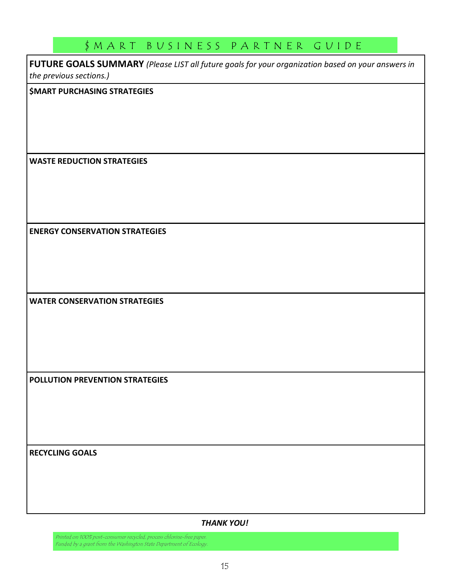FUTURE GOALS SUMMARY (Please LIST all future goals for your organization based on your answers in the previous sections.)

\$MART PURCHASING STRATEGIES

WASTE REDUCTION STRATEGIES

ENERGY CONSERVATION STRATEGIES

WATER CONSERVATION STRATEGIES

POLLUTION PREVENTION STRATEGIES

RECYCLING GOALS

#### THANK YOU!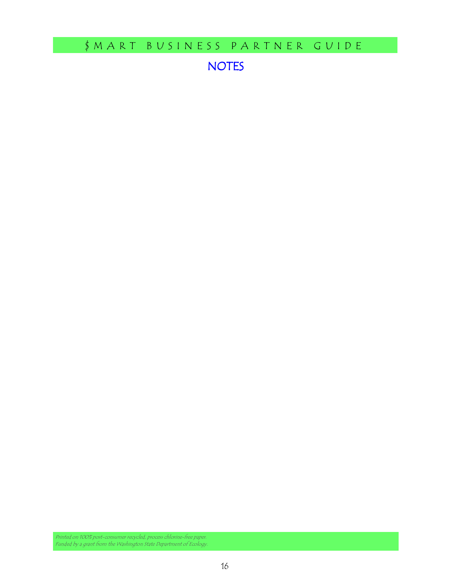NOTES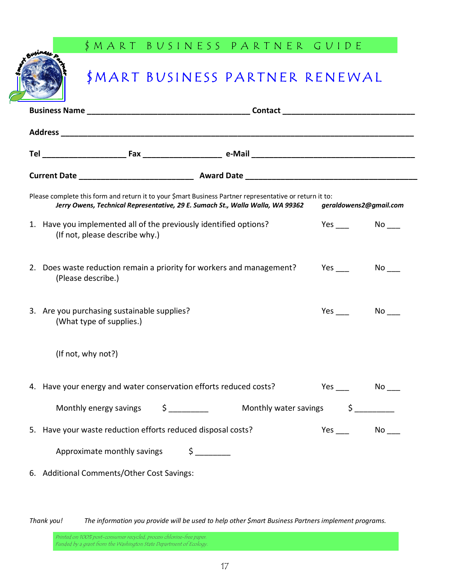# \$MART BUSINESS PARTNER RENEWAL

| Please complete this form and return it to your \$mart Business Partner representative or return it to:<br>Jerry Owens, Technical Representative, 29 E. Sumach St., Walla Walla, WA 99362<br>geraldowens2@gmail.com |                                                                                                                                                                                                                      |  |  |  |  |  |  |
|---------------------------------------------------------------------------------------------------------------------------------------------------------------------------------------------------------------------|----------------------------------------------------------------------------------------------------------------------------------------------------------------------------------------------------------------------|--|--|--|--|--|--|
|                                                                                                                                                                                                                     | 1. Have you implemented all of the previously identified options?<br>Yes $\_\_$<br>(If not, please describe why.)                                                                                                    |  |  |  |  |  |  |
|                                                                                                                                                                                                                     | 2. Does waste reduction remain a priority for workers and management?<br>Yes<br>No results and the New York of the New York of the New York of the New York of the New York of the New York of<br>(Please describe.) |  |  |  |  |  |  |
|                                                                                                                                                                                                                     | 3. Are you purchasing sustainable supplies?<br>Yes<br>No l<br>(What type of supplies.)                                                                                                                               |  |  |  |  |  |  |
|                                                                                                                                                                                                                     | (If not, why not?)                                                                                                                                                                                                   |  |  |  |  |  |  |
|                                                                                                                                                                                                                     | 4. Have your energy and water conservation efforts reduced costs?<br>Yes $\_\_$                                                                                                                                      |  |  |  |  |  |  |
|                                                                                                                                                                                                                     | Monthly energy savings \$<br>Monthly water savings \$                                                                                                                                                                |  |  |  |  |  |  |
|                                                                                                                                                                                                                     | 5. Have your waste reduction efforts reduced disposal costs?<br>No<br>Yes                                                                                                                                            |  |  |  |  |  |  |
|                                                                                                                                                                                                                     | Approximate monthly savings<br>Ś                                                                                                                                                                                     |  |  |  |  |  |  |
|                                                                                                                                                                                                                     | 6. Additional Comments/Other Cost Savings:                                                                                                                                                                           |  |  |  |  |  |  |

Thank you! The information you provide will be used to help other \$mart Business Partners implement programs.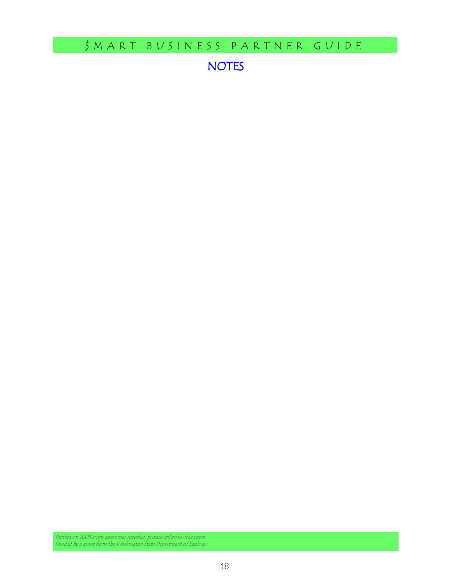NOTES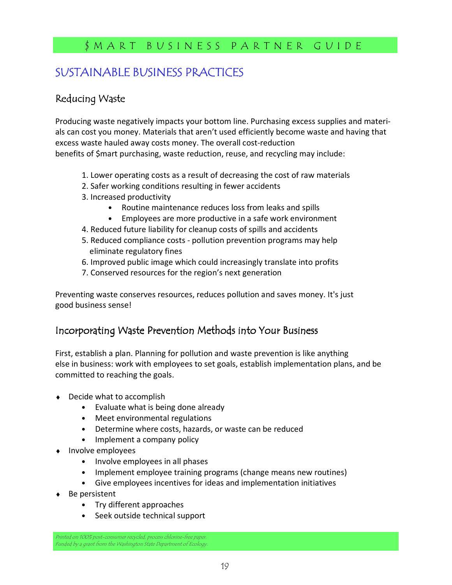# SUSTAINABLE BUSINESS PRACTICES

## Reducing Waste

Producing waste negatively impacts your bottom line. Purchasing excess supplies and materials can cost you money. Materials that aren't used efficiently become waste and having that excess waste hauled away costs money. The overall cost-reduction benefits of \$mart purchasing, waste reduction, reuse, and recycling may include:

- 1. Lower operating costs as a result of decreasing the cost of raw materials
- 2. Safer working conditions resulting in fewer accidents
- 3. Increased productivity
	- Routine maintenance reduces loss from leaks and spills
	- Employees are more productive in a safe work environment
- 4. Reduced future liability for cleanup costs of spills and accidents
- 5. Reduced compliance costs pollution prevention programs may help eliminate regulatory fines
- 6. Improved public image which could increasingly translate into profits
- 7. Conserved resources for the region's next generation

Preventing waste conserves resources, reduces pollution and saves money. It's just good business sense!

## Incorporating Waste Prevention Methods into Your Business

First, establish a plan. Planning for pollution and waste prevention is like anything else in business: work with employees to set goals, establish implementation plans, and be committed to reaching the goals.

- ♦ Decide what to accomplish
	- Evaluate what is being done already
	- Meet environmental regulations
	- Determine where costs, hazards, or waste can be reduced
	- Implement a company policy
- Involve employees
	- Involve employees in all phases
	- Implement employee training programs (change means new routines)
	- Give employees incentives for ideas and implementation initiatives
- ♦ Be persistent
	- Try different approaches
	- Seek outside technical support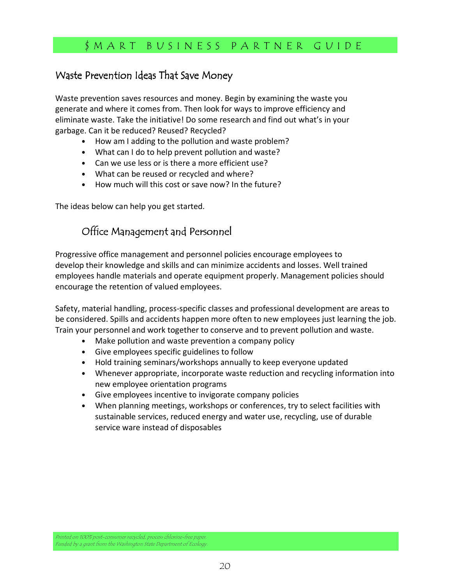#### Waste Prevention Ideas That Save Money

Waste prevention saves resources and money. Begin by examining the waste you generate and where it comes from. Then look for ways to improve efficiency and eliminate waste. Take the initiative! Do some research and find out what's in your garbage. Can it be reduced? Reused? Recycled?

- How am I adding to the pollution and waste problem?
- What can I do to help prevent pollution and waste?
- Can we use less or is there a more efficient use?
- What can be reused or recycled and where?
- How much will this cost or save now? In the future?

The ideas below can help you get started.

# Office Management and Personnel

Progressive office management and personnel policies encourage employees to develop their knowledge and skills and can minimize accidents and losses. Well trained employees handle materials and operate equipment properly. Management policies should encourage the retention of valued employees.

Safety, material handling, process-specific classes and professional development are areas to be considered. Spills and accidents happen more often to new employees just learning the job. Train your personnel and work together to conserve and to prevent pollution and waste.

- Make pollution and waste prevention a company policy
- Give employees specific guidelines to follow
- Hold training seminars/workshops annually to keep everyone updated
- Whenever appropriate, incorporate waste reduction and recycling information into new employee orientation programs
- Give employees incentive to invigorate company policies
- When planning meetings, workshops or conferences, try to select facilities with sustainable services, reduced energy and water use, recycling, use of durable service ware instead of disposables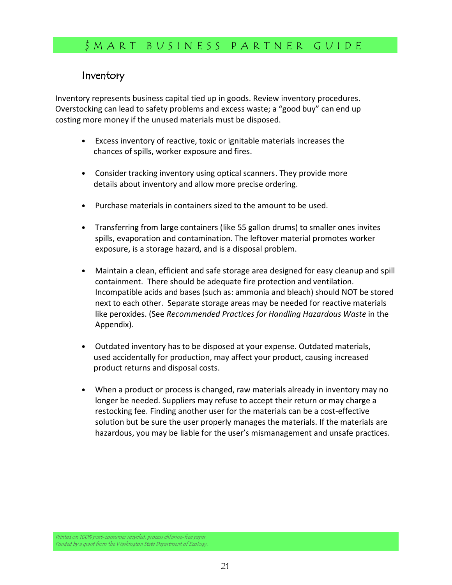#### Inventory

Inventory represents business capital tied up in goods. Review inventory procedures. Overstocking can lead to safety problems and excess waste; a "good buy" can end up costing more money if the unused materials must be disposed.

- Excess inventory of reactive, toxic or ignitable materials increases the chances of spills, worker exposure and fires.
- Consider tracking inventory using optical scanners. They provide more details about inventory and allow more precise ordering.
- Purchase materials in containers sized to the amount to be used.
- Transferring from large containers (like 55 gallon drums) to smaller ones invites spills, evaporation and contamination. The leftover material promotes worker exposure, is a storage hazard, and is a disposal problem.
- Maintain a clean, efficient and safe storage area designed for easy cleanup and spill containment. There should be adequate fire protection and ventilation. Incompatible acids and bases (such as: ammonia and bleach) should NOT be stored next to each other. Separate storage areas may be needed for reactive materials like peroxides. (See Recommended Practices for Handling Hazardous Waste in the Appendix).
- Outdated inventory has to be disposed at your expense. Outdated materials, used accidentally for production, may affect your product, causing increased product returns and disposal costs.
- When a product or process is changed, raw materials already in inventory may no longer be needed. Suppliers may refuse to accept their return or may charge a restocking fee. Finding another user for the materials can be a cost-effective solution but be sure the user properly manages the materials. If the materials are hazardous, you may be liable for the user's mismanagement and unsafe practices.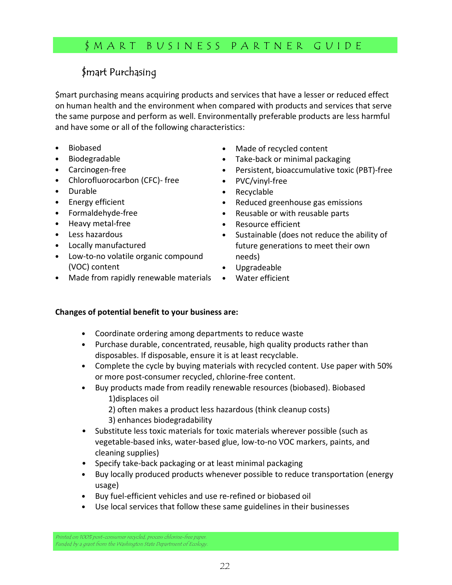# $$$ mart Purchasing

\$mart purchasing means acquiring products and services that have a lesser or reduced effect on human health and the environment when compared with products and services that serve the same purpose and perform as well. Environmentally preferable products are less harmful and have some or all of the following characteristics:

- Biobased
- Biodegradable
- Carcinogen-free
- Chlorofluorocarbon (CFC)- free
- Durable
- Energy efficient
- Formaldehyde-free
- Heavy metal-free
- Less hazardous
- Locally manufactured
- Low-to-no volatile organic compound (VOC) content
- Made from rapidly renewable materials
- Made of recycled content
- Take-back or minimal packaging
- Persistent, bioaccumulative toxic (PBT)-free
- PVC/vinyl-free
- Recyclable
- Reduced greenhouse gas emissions
- Reusable or with reusable parts
- Resource efficient
- Sustainable (does not reduce the ability of future generations to meet their own needs)
- Upgradeable
- Water efficient

#### Changes of potential benefit to your business are:

- Coordinate ordering among departments to reduce waste
- Purchase durable, concentrated, reusable, high quality products rather than disposables. If disposable, ensure it is at least recyclable.
- Complete the cycle by buying materials with recycled content. Use paper with 50% or more post-consumer recycled, chlorine-free content.
- Buy products made from readily renewable resources (biobased). Biobased 1)displaces oil
	- 2) often makes a product less hazardous (think cleanup costs)
	- 3) enhances biodegradability
- Substitute less toxic materials for toxic materials wherever possible (such as vegetable-based inks, water-based glue, low-to-no VOC markers, paints, and cleaning supplies)
- Specify take-back packaging or at least minimal packaging
- Buy locally produced products whenever possible to reduce transportation (energy usage)
- Buy fuel-efficient vehicles and use re-refined or biobased oil
- Use local services that follow these same guidelines in their businesses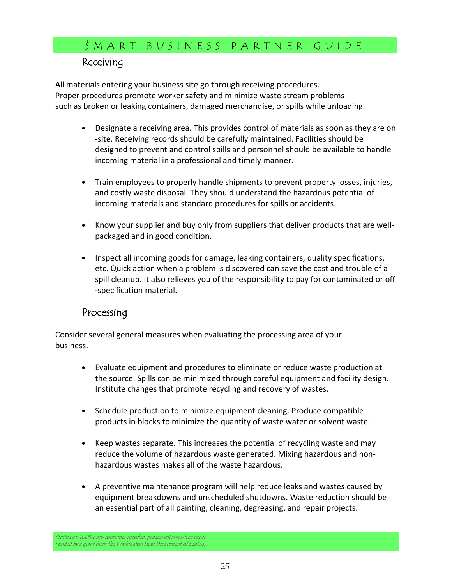#### **Receiving**

All materials entering your business site go through receiving procedures. Proper procedures promote worker safety and minimize waste stream problems such as broken or leaking containers, damaged merchandise, or spills while unloading.

- Designate a receiving area. This provides control of materials as soon as they are on -site. Receiving records should be carefully maintained. Facilities should be designed to prevent and control spills and personnel should be available to handle incoming material in a professional and timely manner.
- Train employees to properly handle shipments to prevent property losses, injuries, and costly waste disposal. They should understand the hazardous potential of incoming materials and standard procedures for spills or accidents.
- Know your supplier and buy only from suppliers that deliver products that are wellpackaged and in good condition.
- Inspect all incoming goods for damage, leaking containers, quality specifications, etc. Quick action when a problem is discovered can save the cost and trouble of a spill cleanup. It also relieves you of the responsibility to pay for contaminated or off -specification material.

#### Processing

Consider several general measures when evaluating the processing area of your business.

- Evaluate equipment and procedures to eliminate or reduce waste production at the source. Spills can be minimized through careful equipment and facility design. Institute changes that promote recycling and recovery of wastes.
- Schedule production to minimize equipment cleaning. Produce compatible products in blocks to minimize the quantity of waste water or solvent waste.
- Keep wastes separate. This increases the potential of recycling waste and may reduce the volume of hazardous waste generated. Mixing hazardous and nonhazardous wastes makes all of the waste hazardous.
- A preventive maintenance program will help reduce leaks and wastes caused by equipment breakdowns and unscheduled shutdowns. Waste reduction should be an essential part of all painting, cleaning, degreasing, and repair projects.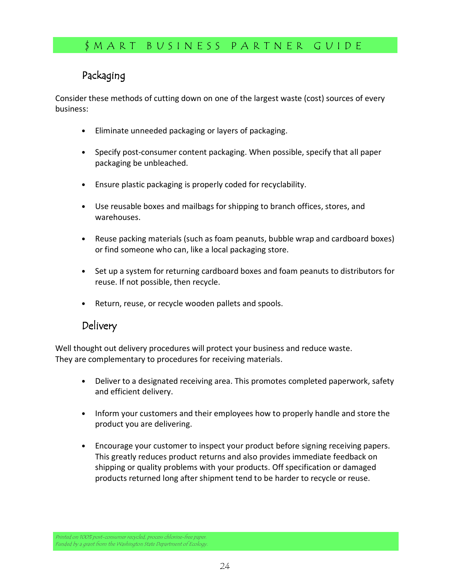## Packaging

Consider these methods of cutting down on one of the largest waste (cost) sources of every business:

- Eliminate unneeded packaging or layers of packaging.
- Specify post-consumer content packaging. When possible, specify that all paper packaging be unbleached.
- Ensure plastic packaging is properly coded for recyclability.
- Use reusable boxes and mailbags for shipping to branch offices, stores, and warehouses.
- Reuse packing materials (such as foam peanuts, bubble wrap and cardboard boxes) or find someone who can, like a local packaging store.
- Set up a system for returning cardboard boxes and foam peanuts to distributors for reuse. If not possible, then recycle.
- Return, reuse, or recycle wooden pallets and spools.

## Delivery

Well thought out delivery procedures will protect your business and reduce waste. They are complementary to procedures for receiving materials.

- Deliver to a designated receiving area. This promotes completed paperwork, safety and efficient delivery.
- Inform your customers and their employees how to properly handle and store the product you are delivering.
- Encourage your customer to inspect your product before signing receiving papers. This greatly reduces product returns and also provides immediate feedback on shipping or quality problems with your products. Off specification or damaged products returned long after shipment tend to be harder to recycle or reuse.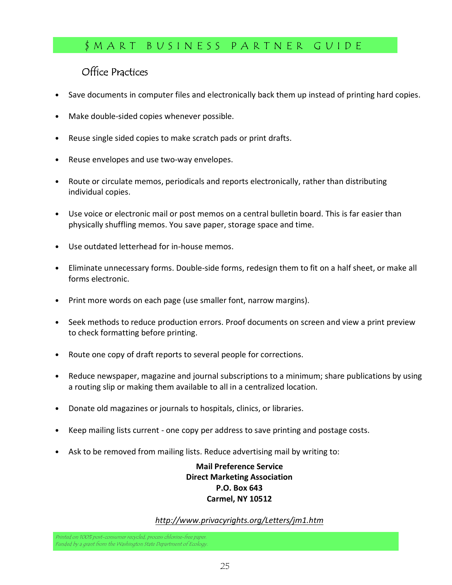# Office Practices

- Save documents in computer files and electronically back them up instead of printing hard copies.
- Make double-sided copies whenever possible.
- Reuse single sided copies to make scratch pads or print drafts.
- Reuse envelopes and use two-way envelopes.
- Route or circulate memos, periodicals and reports electronically, rather than distributing individual copies.
- Use voice or electronic mail or post memos on a central bulletin board. This is far easier than physically shuffling memos. You save paper, storage space and time.
- Use outdated letterhead for in-house memos.
- Eliminate unnecessary forms. Double-side forms, redesign them to fit on a half sheet, or make all forms electronic.
- Print more words on each page (use smaller font, narrow margins).
- Seek methods to reduce production errors. Proof documents on screen and view a print preview to check formatting before printing.
- Route one copy of draft reports to several people for corrections.
- Reduce newspaper, magazine and journal subscriptions to a minimum; share publications by using a routing slip or making them available to all in a centralized location.
- Donate old magazines or journals to hospitals, clinics, or libraries.
- Keep mailing lists current one copy per address to save printing and postage costs.
- Ask to be removed from mailing lists. Reduce advertising mail by writing to:

#### Mail Preference Service Direct Marketing Association P.O. Box 643 Carmel, NY 10512

#### http://www.privacyrights.org/Letters/jm1.htm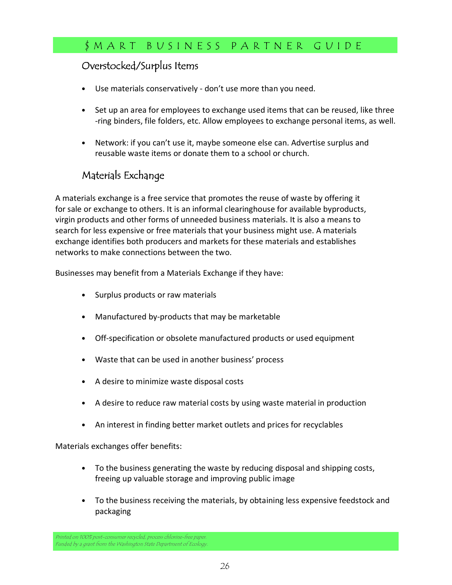#### Overstocked/Surplus Items

- Use materials conservatively don't use more than you need.
- Set up an area for employees to exchange used items that can be reused, like three -ring binders, file folders, etc. Allow employees to exchange personal items, as well.
- Network: if you can't use it, maybe someone else can. Advertise surplus and reusable waste items or donate them to a school or church.

### Materials Exchange

A materials exchange is a free service that promotes the reuse of waste by offering it for sale or exchange to others. It is an informal clearinghouse for available byproducts, virgin products and other forms of unneeded business materials. It is also a means to search for less expensive or free materials that your business might use. A materials exchange identifies both producers and markets for these materials and establishes networks to make connections between the two.

Businesses may benefit from a Materials Exchange if they have:

- Surplus products or raw materials
- Manufactured by-products that may be marketable
- Off-specification or obsolete manufactured products or used equipment
- Waste that can be used in another business' process
- A desire to minimize waste disposal costs
- A desire to reduce raw material costs by using waste material in production
- An interest in finding better market outlets and prices for recyclables

Materials exchanges offer benefits:

- To the business generating the waste by reducing disposal and shipping costs, freeing up valuable storage and improving public image
- To the business receiving the materials, by obtaining less expensive feedstock and packaging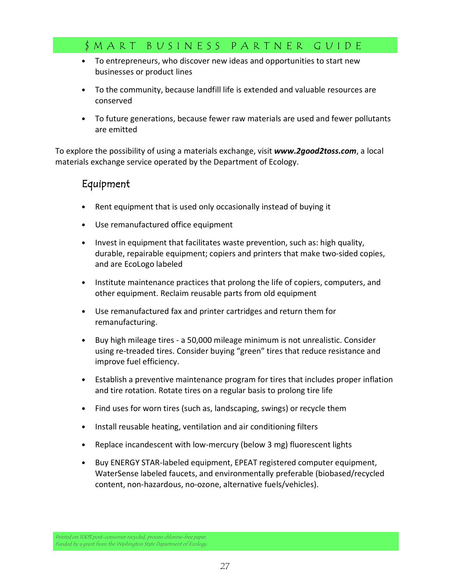- To entrepreneurs, who discover new ideas and opportunities to start new businesses or product lines
- To the community, because landfill life is extended and valuable resources are conserved
- To future generations, because fewer raw materials are used and fewer pollutants are emitted

To explore the possibility of using a materials exchange, visit www.2*good2toss.com*, a local materials exchange service operated by the Department of Ecology.

#### Equipment

- Rent equipment that is used only occasionally instead of buying it
- Use remanufactured office equipment
- Invest in equipment that facilitates waste prevention, such as: high quality, durable, repairable equipment; copiers and printers that make two-sided copies, and are EcoLogo labeled
- Institute maintenance practices that prolong the life of copiers, computers, and other equipment. Reclaim reusable parts from old equipment
- Use remanufactured fax and printer cartridges and return them for remanufacturing.
- Buy high mileage tires a 50,000 mileage minimum is not unrealistic. Consider using re-treaded tires. Consider buying "green" tires that reduce resistance and improve fuel efficiency.
- Establish a preventive maintenance program for tires that includes proper inflation and tire rotation. Rotate tires on a regular basis to prolong tire life
- Find uses for worn tires (such as, landscaping, swings) or recycle them
- Install reusable heating, ventilation and air conditioning filters
- Replace incandescent with low-mercury (below 3 mg) fluorescent lights
- Buy ENERGY STAR-labeled equipment, EPEAT registered computer equipment, WaterSense labeled faucets, and environmentally preferable (biobased/recycled content, non-hazardous, no-ozone, alternative fuels/vehicles).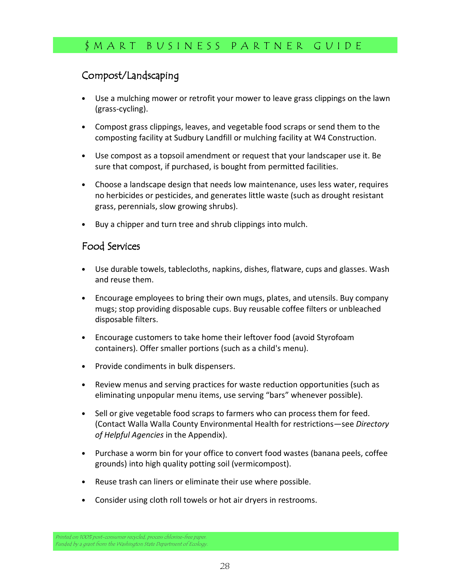# Compost/Landscaping

- Use a mulching mower or retrofit your mower to leave grass clippings on the lawn (grass-cycling).
- Compost grass clippings, leaves, and vegetable food scraps or send them to the composting facility at Sudbury Landfill or mulching facility at W4 Construction.
- Use compost as a topsoil amendment or request that your landscaper use it. Be sure that compost, if purchased, is bought from permitted facilities.
- Choose a landscape design that needs low maintenance, uses less water, requires no herbicides or pesticides, and generates little waste (such as drought resistant grass, perennials, slow growing shrubs).
- Buy a chipper and turn tree and shrub clippings into mulch.

#### Food Services

- Use durable towels, tablecloths, napkins, dishes, flatware, cups and glasses. Wash and reuse them.
- Encourage employees to bring their own mugs, plates, and utensils. Buy company mugs; stop providing disposable cups. Buy reusable coffee filters or unbleached disposable filters.
- Encourage customers to take home their leftover food (avoid Styrofoam containers). Offer smaller portions (such as a child's menu).
- Provide condiments in bulk dispensers.
- Review menus and serving practices for waste reduction opportunities (such as eliminating unpopular menu items, use serving "bars" whenever possible).
- Sell or give vegetable food scraps to farmers who can process them for feed. (Contact Walla Walla County Environmental Health for restrictions—see Directory of Helpful Agencies in the Appendix).
- Purchase a worm bin for your office to convert food wastes (banana peels, coffee grounds) into high quality potting soil (vermicompost).
- Reuse trash can liners or eliminate their use where possible.
- Consider using cloth roll towels or hot air dryers in restrooms.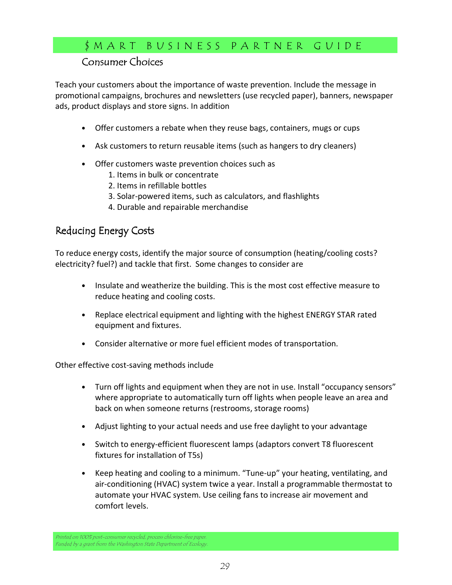## Consumer Choices

Teach your customers about the importance of waste prevention. Include the message in promotional campaigns, brochures and newsletters (use recycled paper), banners, newspaper ads, product displays and store signs. In addition

- Offer customers a rebate when they reuse bags, containers, mugs or cups
- Ask customers to return reusable items (such as hangers to dry cleaners)
- Offer customers waste prevention choices such as
	- 1. Items in bulk or concentrate
	- 2. Items in refillable bottles
	- 3. Solar-powered items, such as calculators, and flashlights
	- 4. Durable and repairable merchandise

## Reducing Energy Costs

To reduce energy costs, identify the major source of consumption (heating/cooling costs? electricity? fuel?) and tackle that first. Some changes to consider are

- Insulate and weatherize the building. This is the most cost effective measure to reduce heating and cooling costs.
- Replace electrical equipment and lighting with the highest ENERGY STAR rated equipment and fixtures.
- Consider alternative or more fuel efficient modes of transportation.

Other effective cost-saving methods include

- Turn off lights and equipment when they are not in use. Install "occupancy sensors" where appropriate to automatically turn off lights when people leave an area and back on when someone returns (restrooms, storage rooms)
- Adjust lighting to your actual needs and use free daylight to your advantage
- Switch to energy-efficient fluorescent lamps (adaptors convert T8 fluorescent fixtures for installation of T5s)
- Keep heating and cooling to a minimum. "Tune-up" your heating, ventilating, and air-conditioning (HVAC) system twice a year. Install a programmable thermostat to automate your HVAC system. Use ceiling fans to increase air movement and comfort levels.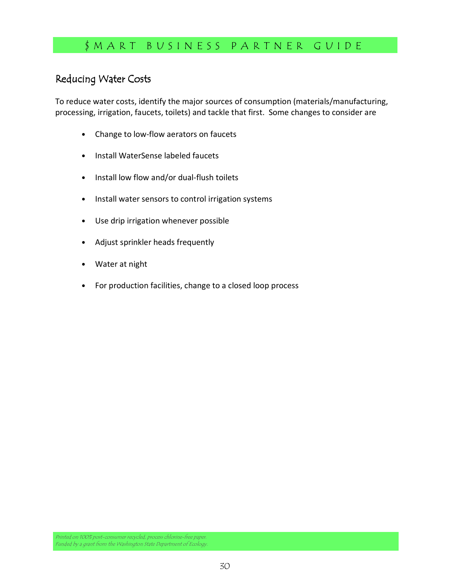# Reducing Water Costs

To reduce water costs, identify the major sources of consumption (materials/manufacturing, processing, irrigation, faucets, toilets) and tackle that first. Some changes to consider are

- Change to low-flow aerators on faucets
- Install WaterSense labeled faucets
- Install low flow and/or dual-flush toilets
- Install water sensors to control irrigation systems
- Use drip irrigation whenever possible
- Adjust sprinkler heads frequently
- Water at night
- For production facilities, change to a closed loop process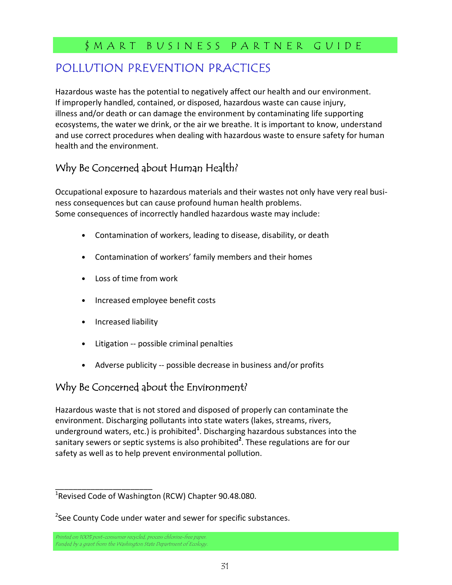# POLLUTION PREVENTION PRACTICES

Hazardous waste has the potential to negatively affect our health and our environment. If improperly handled, contained, or disposed, hazardous waste can cause injury, illness and/or death or can damage the environment by contaminating life supporting ecosystems, the water we drink, or the air we breathe. It is important to know, understand and use correct procedures when dealing with hazardous waste to ensure safety for human health and the environment.

# Why Be Concerned about Human Health?

Occupational exposure to hazardous materials and their wastes not only have very real business consequences but can cause profound human health problems. Some consequences of incorrectly handled hazardous waste may include:

- Contamination of workers, leading to disease, disability, or death
- Contamination of workers' family members and their homes
- Loss of time from work
- Increased employee benefit costs
- Increased liability
- Litigation -- possible criminal penalties
- Adverse publicity -- possible decrease in business and/or profits

### Why Be Concerned about the Environment?

Hazardous waste that is not stored and disposed of properly can contaminate the environment. Discharging pollutants into state waters (lakes, streams, rivers, underground waters, etc.) is prohibited<sup>1</sup>. Discharging hazardous substances into the sanitary sewers or septic systems is also prohibited<sup>2</sup>. These regulations are for our safety as well as to help prevent environmental pollution.

\_\_\_\_\_\_\_\_\_\_\_\_\_\_\_\_\_\_\_\_\_\_

<sup>&</sup>lt;sup>1</sup>Revised Code of Washington (RCW) Chapter 90.48.080.

<sup>&</sup>lt;sup>2</sup>See County Code under water and sewer for specific substances.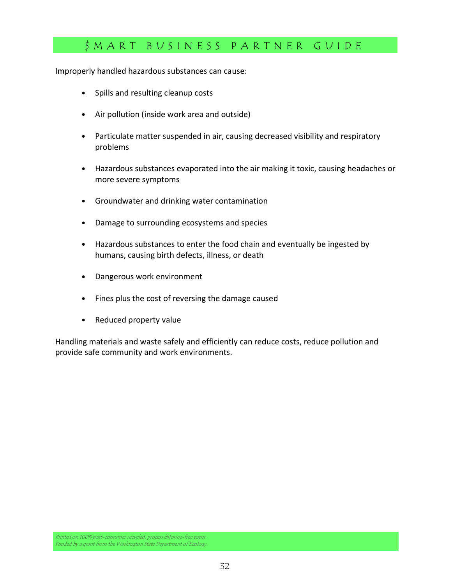Improperly handled hazardous substances can cause:

- Spills and resulting cleanup costs
- Air pollution (inside work area and outside)
- Particulate matter suspended in air, causing decreased visibility and respiratory problems
- Hazardous substances evaporated into the air making it toxic, causing headaches or more severe symptoms
- Groundwater and drinking water contamination
- Damage to surrounding ecosystems and species
- Hazardous substances to enter the food chain and eventually be ingested by humans, causing birth defects, illness, or death
- Dangerous work environment
- Fines plus the cost of reversing the damage caused
- Reduced property value

Handling materials and waste safely and efficiently can reduce costs, reduce pollution and provide safe community and work environments.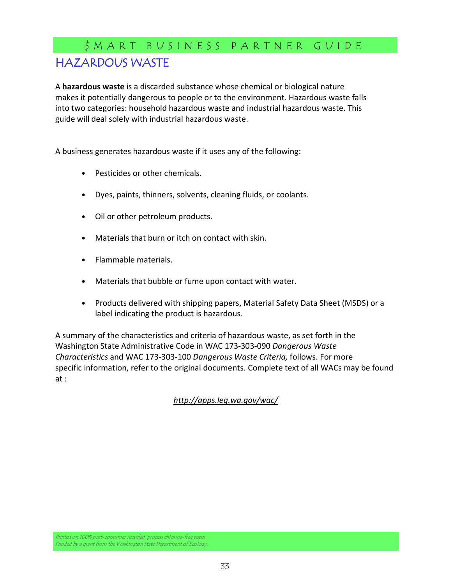# \$ M A R T B U S I N E S S P A R T N E R G U I D E HAZARDOUS WASTE

A hazardous waste is a discarded substance whose chemical or biological nature makes it potentially dangerous to people or to the environment. Hazardous waste falls into two categories: household hazardous waste and industrial hazardous waste. This guide will deal solely with industrial hazardous waste.

A business generates hazardous waste if it uses any of the following:

- Pesticides or other chemicals.
- Dyes, paints, thinners, solvents, cleaning fluids, or coolants.
- Oil or other petroleum products.
- Materials that burn or itch on contact with skin.
- Flammable materials.
- Materials that bubble or fume upon contact with water.
- Products delivered with shipping papers, Material Safety Data Sheet (MSDS) or a label indicating the product is hazardous.

A summary of the characteristics and criteria of hazardous waste, as set forth in the Washington State Administrative Code in WAC 173-303-090 Dangerous Waste Characteristics and WAC 173-303-100 Dangerous Waste Criteria, follows. For more specific information, refer to the original documents. Complete text of all WACs may be found at :

http://apps.leg.wa.gov/wac/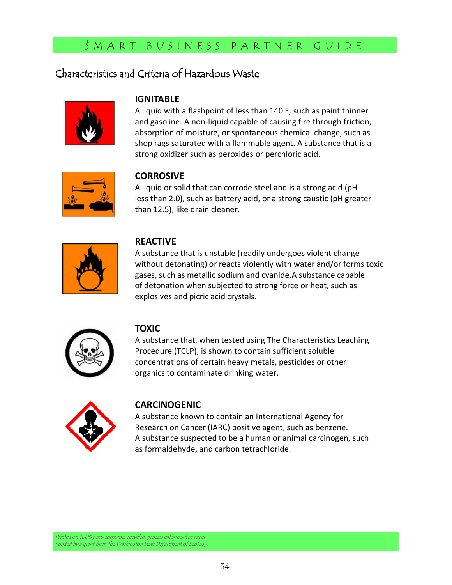### Characteristics and Criteria of Hazardous Waste



#### **IGNITABLE**

A liquid with a flashpoint of less than 140 F, such as paint thinner and gasoline. A non-liquid capable of causing fire through friction, absorption of moisture, or spontaneous chemical change, such as shop rags saturated with a flammable agent. A substance that is a strong oxidizer such as peroxides or perchloric acid.



### **CORROSIVE**

A liquid or solid that can corrode steel and is a strong acid (pH less than 2.0), such as battery acid, or a strong caustic (pH greater than 12.5), like drain cleaner.



### REACTIVE

A substance that is unstable (readily undergoes violent change without detonating) or reacts violently with water and/or forms toxic gases, such as metallic sodium and cyanide.A substance capable of detonation when subjected to strong force or heat, such as explosives and picric acid crystals.



### TOXIC

A substance that, when tested using The Characteristics Leaching Procedure (TCLP), is shown to contain sufficient soluble concentrations of certain heavy metals, pesticides or other organics to contaminate drinking water.



### CARCINOGENIC

A substance known to contain an International Agency for Research on Cancer (IARC) positive agent, such as benzene. A substance suspected to be a human or animal carcinogen, such as formaldehyde, and carbon tetrachloride.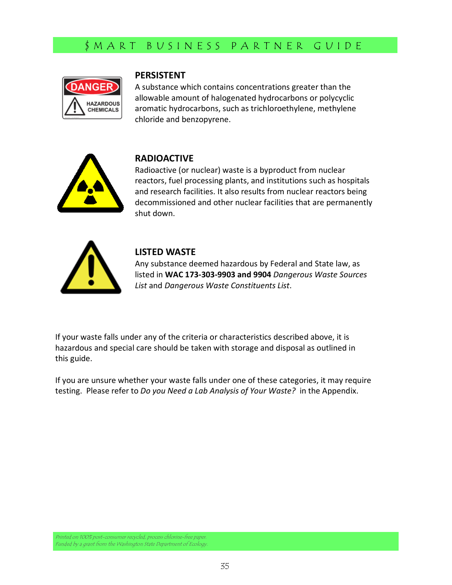

#### PERSISTENT

A substance which contains concentrations greater than the allowable amount of halogenated hydrocarbons or polycyclic aromatic hydrocarbons, such as trichloroethylene, methylene chloride and benzopyrene.



### RADIOACTIVE

Radioactive (or nuclear) waste is a byproduct from nuclear reactors, fuel processing plants, and institutions such as hospitals and research facilities. It also results from nuclear reactors being decommissioned and other nuclear facilities that are permanently shut down.



#### LISTED WASTE

Any substance deemed hazardous by Federal and State law, as listed in WAC 173-303-9903 and 9904 Dangerous Waste Sources List and Dangerous Waste Constituents List.

If your waste falls under any of the criteria or characteristics described above, it is hazardous and special care should be taken with storage and disposal as outlined in this guide.

If you are unsure whether your waste falls under one of these categories, it may require testing. Please refer to Do you Need a Lab Analysis of Your Waste? in the Appendix.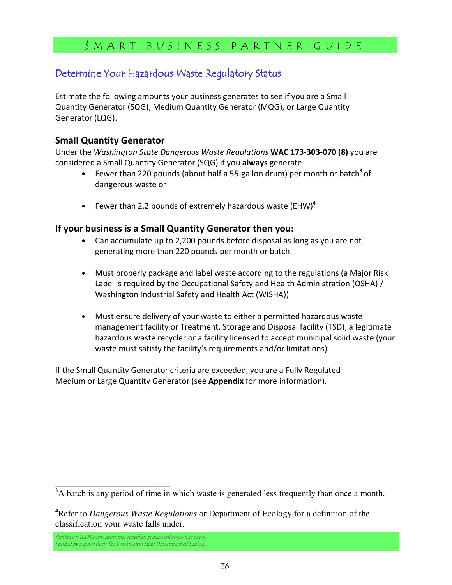### Determine Your Hazardous Waste Regulatory Status

Estimate the following amounts your business generates to see if you are a Small Quantity Generator (SQG), Medium Quantity Generator (MQG), or Large Quantity Generator (LQG).

### Small Quantity Generator

Under the Washington State Dangerous Waste Regulations WAC 173-303-070 (8) you are considered a Small Quantity Generator (SQG) if you always generate

- Fewer than 220 pounds (about half a 55-gallon drum) per month or batch<sup>3</sup> of dangerous waste or
- Fewer than 2.2 pounds of extremely hazardous waste (EHW)<sup>4</sup>

### If your business is a Small Quantity Generator then you:

- Can accumulate up to 2,200 pounds before disposal as long as you are not generating more than 220 pounds per month or batch
- Must properly package and label waste according to the regulations (a Major Risk Label is required by the Occupational Safety and Health Administration (OSHA) / Washington Industrial Safety and Health Act (WISHA))
- Must ensure delivery of your waste to either a permitted hazardous waste management facility or Treatment, Storage and Disposal facility (TSD), a legitimate hazardous waste recycler or a facility licensed to accept municipal solid waste (your waste must satisfy the facility's requirements and/or limitations)

If the Small Quantity Generator criteria are exceeded, you are a Fully Regulated Medium or Large Quantity Generator (see Appendix for more information).

\_\_\_\_\_\_\_\_\_\_\_\_\_\_\_\_\_\_\_\_\_\_\_\_\_\_

 $3A$  batch is any period of time in which waste is generated less frequently than once a month.

**<sup>4</sup>**Refer to *Dangerous Waste Regulations* or Department of Ecology for a definition of the classification your waste falls under.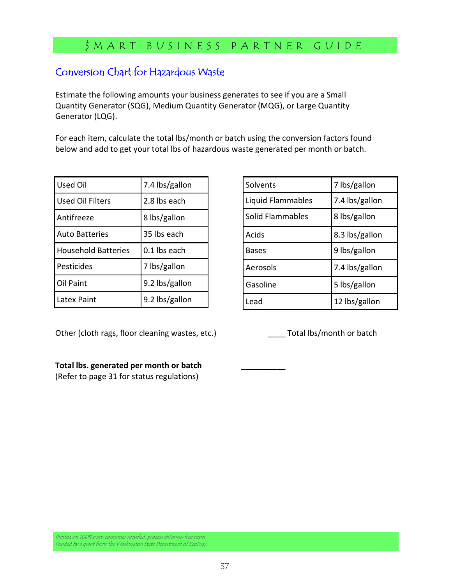## Conversion Chart for Hazardous Waste

Estimate the following amounts your business generates to see if you are a Small Quantity Generator (SQG), Medium Quantity Generator (MQG), or Large Quantity Generator (LQG).

For each item, calculate the total lbs/month or batch using the conversion factors found below and add to get your total lbs of hazardous waste generated per month or batch.

| <b>Used Oil</b>            | 7.4 lbs/gallon |  |  |
|----------------------------|----------------|--|--|
| <b>Used Oil Filters</b>    | 2.8 lbs each   |  |  |
| Antifreeze                 | 8 lbs/gallon   |  |  |
| <b>Auto Batteries</b>      | 35 lbs each    |  |  |
|                            | 0.1 lbs each   |  |  |
| <b>Household Batteries</b> |                |  |  |
| Pesticides                 | 7 lbs/gallon   |  |  |
| <b>Oil Paint</b>           | 9.2 lbs/gallon |  |  |

| Solvents          | 7 lbs/gallon   |  |
|-------------------|----------------|--|
| Liquid Flammables | 7.4 lbs/gallon |  |
| Solid Flammables  | 8 lbs/gallon   |  |
| Acids             | 8.3 lbs/gallon |  |
| Bases             | 9 lbs/gallon   |  |
| Aerosols          | 7.4 lbs/gallon |  |
| Gasoline          | 5 lbs/gallon   |  |
| Lead              | 12 lbs/gallon  |  |

Other (cloth rags, floor cleaning wastes, etc.) Total lbs/month or batch

#### Total lbs. generated per month or batch \_\_\_\_\_\_\_\_\_\_

(Refer to page 31 for status regulations)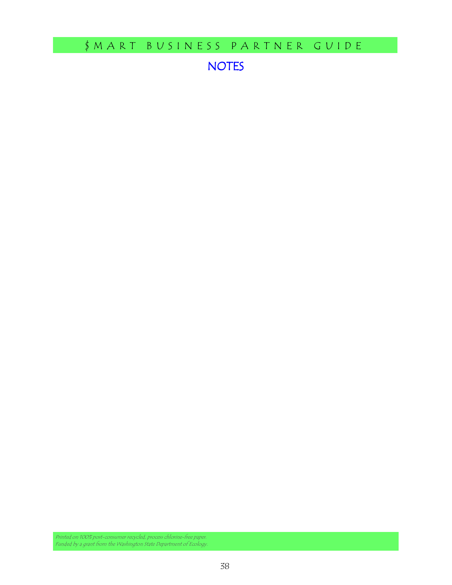NOTES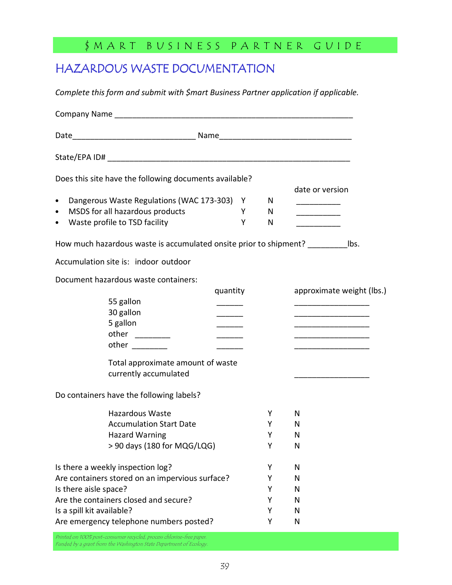# HAZARDOUS WASTE DOCUMENTATION

Complete this form and submit with \$mart Business Partner application if applicable.

|                                                                                       | Does this site have the following documents available?     |               |   |                                                             |  |  |
|---------------------------------------------------------------------------------------|------------------------------------------------------------|---------------|---|-------------------------------------------------------------|--|--|
|                                                                                       |                                                            |               |   | date or version                                             |  |  |
| $\bullet$                                                                             | Dangerous Waste Regulations (WAC 173-303) Y                |               | N |                                                             |  |  |
| $\bullet$                                                                             | MSDS for all hazardous products                            | Y             | N |                                                             |  |  |
| ٠                                                                                     | Waste profile to TSD facility                              | Y             | N | <u> 1989 - Johann John Stone</u>                            |  |  |
| How much hazardous waste is accumulated onsite prior to shipment? ______________ lbs. |                                                            |               |   |                                                             |  |  |
|                                                                                       | Accumulation site is: indoor outdoor                       |               |   |                                                             |  |  |
|                                                                                       | Document hazardous waste containers:                       |               |   |                                                             |  |  |
|                                                                                       |                                                            | quantity      |   | approximate weight (lbs.)                                   |  |  |
|                                                                                       | 55 gallon                                                  |               |   |                                                             |  |  |
|                                                                                       | 30 gallon                                                  |               |   | <u> 1989 - Johann Barbara, martxa al III-lea (h. 1989).</u> |  |  |
|                                                                                       | 5 gallon                                                   |               |   |                                                             |  |  |
|                                                                                       |                                                            | $\frac{1}{1}$ |   |                                                             |  |  |
|                                                                                       | other $\frac{1}{2}$                                        |               |   |                                                             |  |  |
|                                                                                       | Total approximate amount of waste<br>currently accumulated |               |   |                                                             |  |  |
| Do containers have the following labels?                                              |                                                            |               |   |                                                             |  |  |
|                                                                                       | <b>Hazardous Waste</b>                                     |               | Y | N                                                           |  |  |
|                                                                                       | <b>Accumulation Start Date</b>                             |               | Υ | N                                                           |  |  |
|                                                                                       | <b>Hazard Warning</b>                                      |               | Υ | N                                                           |  |  |
|                                                                                       | > 90 days (180 for MQG/LQG)                                |               | Υ | N                                                           |  |  |
| Is there a weekly inspection log?<br>Y                                                |                                                            | N             |   |                                                             |  |  |
|                                                                                       | Are containers stored on an impervious surface?            |               | Y | N                                                           |  |  |
| Is there aisle space?                                                                 |                                                            |               | Y | N                                                           |  |  |
|                                                                                       | Are the containers closed and secure?                      |               | Υ | N                                                           |  |  |
| Is a spill kit available?                                                             |                                                            |               | Y | N                                                           |  |  |
|                                                                                       | Are emergency telephone numbers posted?                    |               | Υ | $\mathsf{N}$                                                |  |  |
|                                                                                       |                                                            |               |   |                                                             |  |  |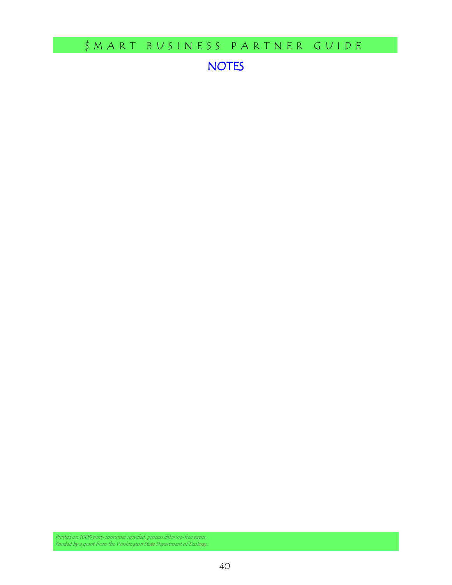NOTES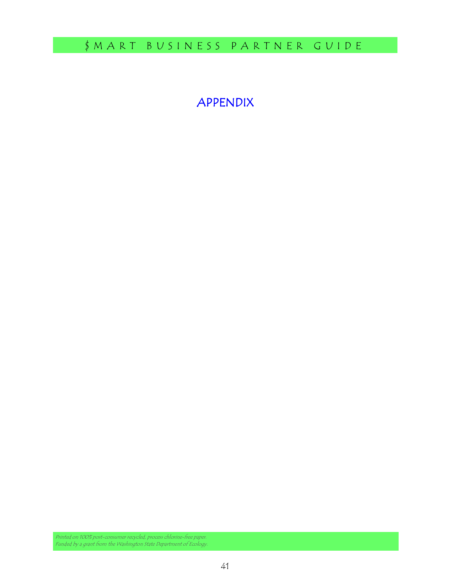# APPENDIX APPENDIX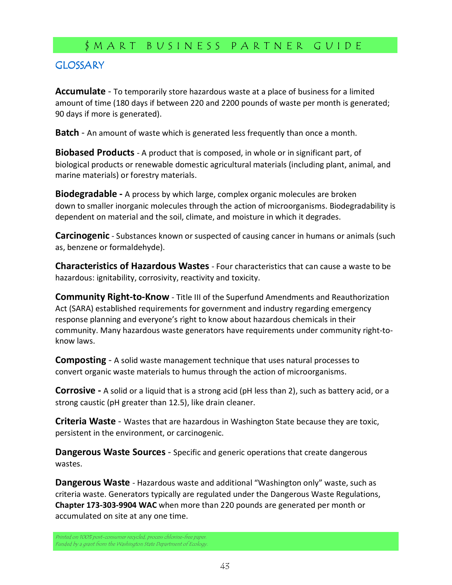### **GLOSSARY**

Accumulate - To temporarily store hazardous waste at a place of business for a limited amount of time (180 days if between 220 and 2200 pounds of waste per month is generated; 90 days if more is generated).

**Batch** - An amount of waste which is generated less frequently than once a month.

**Biobased Products** - A product that is composed, in whole or in significant part, of biological products or renewable domestic agricultural materials (including plant, animal, and marine materials) or forestry materials.

**Biodegradable -** A process by which large, complex organic molecules are broken down to smaller inorganic molecules through the action of microorganisms. Biodegradability is dependent on material and the soil, climate, and moisture in which it degrades.

**Carcinogenic** - Substances known or suspected of causing cancer in humans or animals (such as, benzene or formaldehyde).

Characteristics of Hazardous Wastes - Four characteristics that can cause a waste to be hazardous: ignitability, corrosivity, reactivity and toxicity.

**Community Right-to-Know** - Title III of the Superfund Amendments and Reauthorization Act (SARA) established requirements for government and industry regarding emergency response planning and everyone's right to know about hazardous chemicals in their community. Many hazardous waste generators have requirements under community right-toknow laws.

**Composting** - A solid waste management technique that uses natural processes to convert organic waste materials to humus through the action of microorganisms.

**Corrosive** - A solid or a liquid that is a strong acid (pH less than 2), such as battery acid, or a strong caustic (pH greater than 12.5), like drain cleaner.

Criteria Waste - Wastes that are hazardous in Washington State because they are toxic, persistent in the environment, or carcinogenic.

Dangerous Waste Sources - Specific and generic operations that create dangerous wastes.

**Dangerous Waste** - Hazardous waste and additional "Washington only" waste, such as criteria waste. Generators typically are regulated under the Dangerous Waste Regulations, Chapter 173-303-9904 WAC when more than 220 pounds are generated per month or accumulated on site at any one time.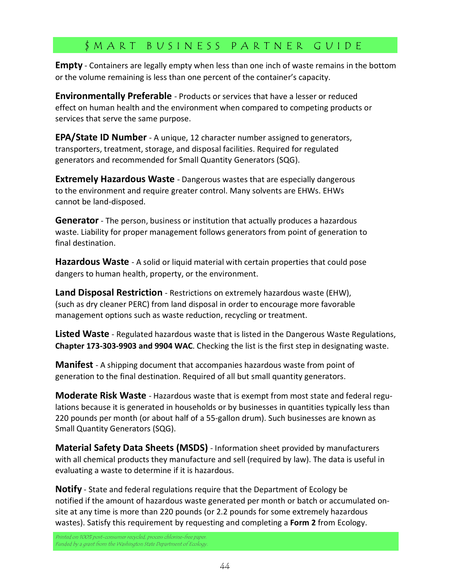**Empty** - Containers are legally empty when less than one inch of waste remains in the bottom or the volume remaining is less than one percent of the container's capacity.

**Environmentally Preferable** - Products or services that have a lesser or reduced effect on human health and the environment when compared to competing products or services that serve the same purpose.

**EPA/State ID Number** - A unique, 12 character number assigned to generators, transporters, treatment, storage, and disposal facilities. Required for regulated generators and recommended for Small Quantity Generators (SQG).

**Extremely Hazardous Waste** - Dangerous wastes that are especially dangerous to the environment and require greater control. Many solvents are EHWs. EHWs cannot be land-disposed.

**Generator** - The person, business or institution that actually produces a hazardous waste. Liability for proper management follows generators from point of generation to final destination.

Hazardous Waste - A solid or liquid material with certain properties that could pose dangers to human health, property, or the environment.

Land Disposal Restriction - Restrictions on extremely hazardous waste (EHW), (such as dry cleaner PERC) from land disposal in order to encourage more favorable management options such as waste reduction, recycling or treatment.

Listed Waste - Regulated hazardous waste that is listed in the Dangerous Waste Regulations, Chapter 173-303-9903 and 9904 WAC. Checking the list is the first step in designating waste.

**Manifest** - A shipping document that accompanies hazardous waste from point of generation to the final destination. Required of all but small quantity generators.

**Moderate Risk Waste** - Hazardous waste that is exempt from most state and federal regulations because it is generated in households or by businesses in quantities typically less than 220 pounds per month (or about half of a 55-gallon drum). Such businesses are known as Small Quantity Generators (SQG).

Material Safety Data Sheets (MSDS) - Information sheet provided by manufacturers with all chemical products they manufacture and sell (required by law). The data is useful in evaluating a waste to determine if it is hazardous.

**Notify** - State and federal regulations require that the Department of Ecology be notified if the amount of hazardous waste generated per month or batch or accumulated onsite at any time is more than 220 pounds (or 2.2 pounds for some extremely hazardous wastes). Satisfy this requirement by requesting and completing a Form 2 from Ecology.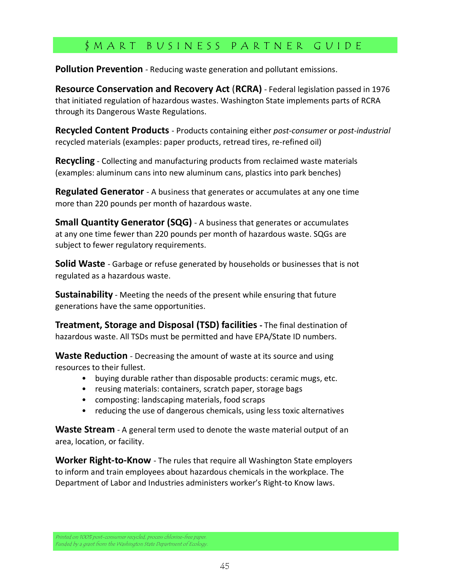**Pollution Prevention** - Reducing waste generation and pollutant emissions.

Resource Conservation and Recovery Act (RCRA) - Federal legislation passed in 1976 that initiated regulation of hazardous wastes. Washington State implements parts of RCRA through its Dangerous Waste Regulations.

**Recycled Content Products** - Products containing either post-consumer or post-industrial recycled materials (examples: paper products, retread tires, re-refined oil)

**Recycling** - Collecting and manufacturing products from reclaimed waste materials (examples: aluminum cans into new aluminum cans, plastics into park benches)

**Regulated Generator** - A business that generates or accumulates at any one time more than 220 pounds per month of hazardous waste.

**Small Quantity Generator (SQG)** - A business that generates or accumulates at any one time fewer than 220 pounds per month of hazardous waste. SQGs are subject to fewer regulatory requirements.

**Solid Waste** - Garbage or refuse generated by households or businesses that is not regulated as a hazardous waste.

**Sustainability** - Meeting the needs of the present while ensuring that future generations have the same opportunities.

Treatment, Storage and Disposal (TSD) facilities - The final destination of hazardous waste. All TSDs must be permitted and have EPA/State ID numbers.

Waste Reduction - Decreasing the amount of waste at its source and using resources to their fullest.

- buying durable rather than disposable products: ceramic mugs, etc.
- reusing materials: containers, scratch paper, storage bags
- composting: landscaping materials, food scraps
- reducing the use of dangerous chemicals, using less toxic alternatives

**Waste Stream** - A general term used to denote the waste material output of an area, location, or facility.

**Worker Right-to-Know** - The rules that require all Washington State employers to inform and train employees about hazardous chemicals in the workplace. The Department of Labor and Industries administers worker's Right-to Know laws.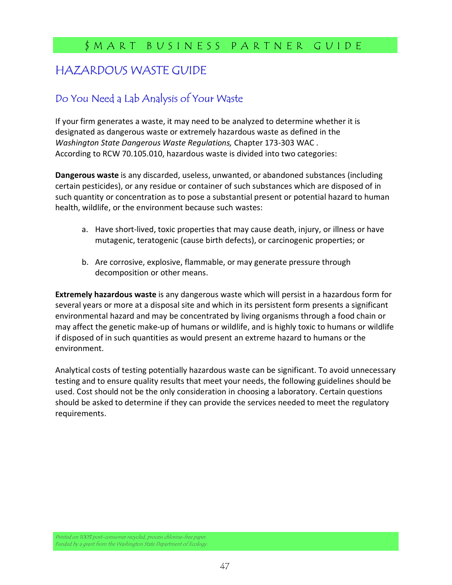# HAZARDOUS WASTE GUIDE

## Do You Need a Lab Analysis of Your Waste

If your firm generates a waste, it may need to be analyzed to determine whether it is designated as dangerous waste or extremely hazardous waste as defined in the Washington State Dangerous Waste Regulations, Chapter 173-303 WAC . According to RCW 70.105.010, hazardous waste is divided into two categories:

Dangerous waste is any discarded, useless, unwanted, or abandoned substances (including certain pesticides), or any residue or container of such substances which are disposed of in such quantity or concentration as to pose a substantial present or potential hazard to human health, wildlife, or the environment because such wastes:

- a. Have short-lived, toxic properties that may cause death, injury, or illness or have mutagenic, teratogenic (cause birth defects), or carcinogenic properties; or
- b. Are corrosive, explosive, flammable, or may generate pressure through decomposition or other means.

Extremely hazardous waste is any dangerous waste which will persist in a hazardous form for several years or more at a disposal site and which in its persistent form presents a significant environmental hazard and may be concentrated by living organisms through a food chain or may affect the genetic make-up of humans or wildlife, and is highly toxic to humans or wildlife if disposed of in such quantities as would present an extreme hazard to humans or the environment.

Analytical costs of testing potentially hazardous waste can be significant. To avoid unnecessary testing and to ensure quality results that meet your needs, the following guidelines should be used. Cost should not be the only consideration in choosing a laboratory. Certain questions should be asked to determine if they can provide the services needed to meet the regulatory requirements.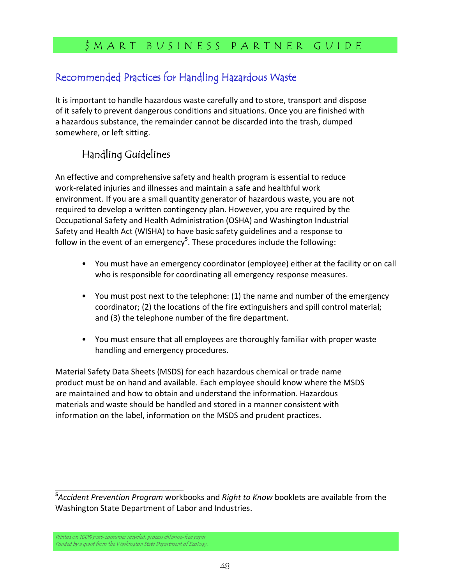### Recommended Practices for Handling Hazardous Waste

It is important to handle hazardous waste carefully and to store, transport and dispose of it safely to prevent dangerous conditions and situations. Once you are finished with a hazardous substance, the remainder cannot be discarded into the trash, dumped somewhere, or left sitting.

### Handling Guidelines

An effective and comprehensive safety and health program is essential to reduce work-related injuries and illnesses and maintain a safe and healthful work environment. If you are a small quantity generator of hazardous waste, you are not required to develop a written contingency plan. However, you are required by the Occupational Safety and Health Administration (OSHA) and Washington Industrial Safety and Health Act (WISHA) to have basic safety guidelines and a response to follow in the event of an emergency<sup>5</sup>. These procedures include the following:

- You must have an emergency coordinator (employee) either at the facility or on call who is responsible for coordinating all emergency response measures.
- You must post next to the telephone: (1) the name and number of the emergency coordinator; (2) the locations of the fire extinguishers and spill control material; and (3) the telephone number of the fire department.
- You must ensure that all employees are thoroughly familiar with proper waste handling and emergency procedures.

Material Safety Data Sheets (MSDS) for each hazardous chemical or trade name product must be on hand and available. Each employee should know where the MSDS are maintained and how to obtain and understand the information. Hazardous materials and waste should be handled and stored in a manner consistent with information on the label, information on the MSDS and prudent practices.

\_\_\_\_\_\_\_\_\_\_\_\_\_\_\_\_\_\_\_\_\_\_\_\_\_\_

<sup>&</sup>lt;sup>5</sup>Accident Prevention Program workbooks and Right to Know booklets are available from the Washington State Department of Labor and Industries.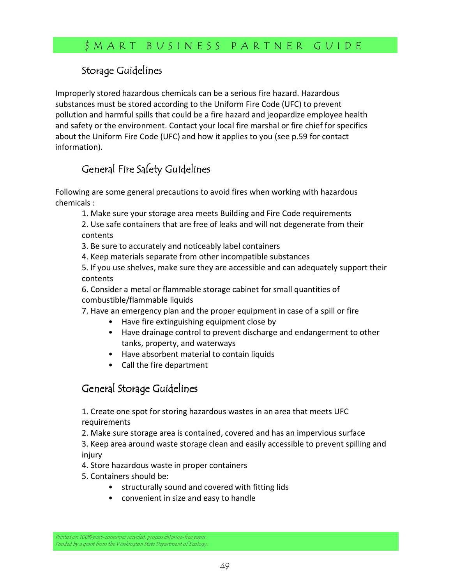### Storage Guidelines

Improperly stored hazardous chemicals can be a serious fire hazard. Hazardous substances must be stored according to the Uniform Fire Code (UFC) to prevent pollution and harmful spills that could be a fire hazard and jeopardize employee health and safety or the environment. Contact your local fire marshal or fire chief for specifics about the Uniform Fire Code (UFC) and how it applies to you (see p.59 for contact information).

# General Fire Safety Guidelines

Following are some general precautions to avoid fires when working with hazardous chemicals :

1. Make sure your storage area meets Building and Fire Code requirements

2. Use safe containers that are free of leaks and will not degenerate from their contents

3. Be sure to accurately and noticeably label containers

4. Keep materials separate from other incompatible substances

5. If you use shelves, make sure they are accessible and can adequately support their contents

6. Consider a metal or flammable storage cabinet for small quantities of combustible/flammable liquids

7. Have an emergency plan and the proper equipment in case of a spill or fire

- Have fire extinguishing equipment close by
- Have drainage control to prevent discharge and endangerment to other tanks, property, and waterways
- Have absorbent material to contain liquids
- Call the fire department

### General Storage Guidelines

1. Create one spot for storing hazardous wastes in an area that meets UFC requirements

2. Make sure storage area is contained, covered and has an impervious surface

3. Keep area around waste storage clean and easily accessible to prevent spilling and injury

4. Store hazardous waste in proper containers

- 5. Containers should be:
	- structurally sound and covered with fitting lids
	- convenient in size and easy to handle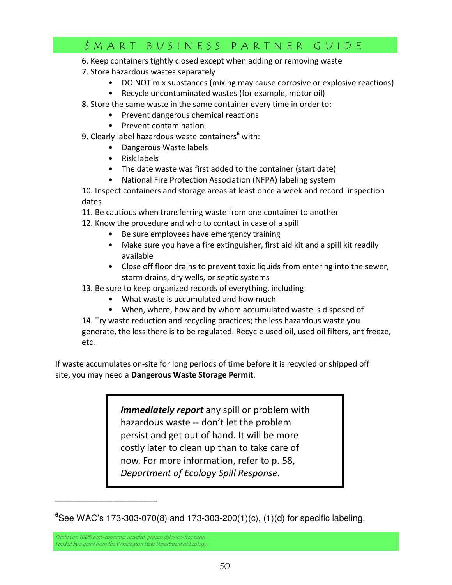- 6. Keep containers tightly closed except when adding or removing waste
- 7. Store hazardous wastes separately
	- DO NOT mix substances (mixing may cause corrosive or explosive reactions)
	- Recycle uncontaminated wastes (for example, motor oil)
- 8. Store the same waste in the same container every time in order to:
	- Prevent dangerous chemical reactions
	- Prevent contamination
- 9. Clearly label hazardous waste containers<sup>6</sup> with:
	- Dangerous Waste labels
	- Risk labels
	- The date waste was first added to the container (start date)
	- National Fire Protection Association (NFPA) labeling system

10. Inspect containers and storage areas at least once a week and record inspection dates

11. Be cautious when transferring waste from one container to another

- 12. Know the procedure and who to contact in case of a spill
	- Be sure employees have emergency training
	- Make sure you have a fire extinguisher, first aid kit and a spill kit readily available
	- Close off floor drains to prevent toxic liquids from entering into the sewer, storm drains, dry wells, or septic systems
- 13. Be sure to keep organized records of everything, including:
	- What waste is accumulated and how much
	- When, where, how and by whom accumulated waste is disposed of

14. Try waste reduction and recycling practices; the less hazardous waste you generate, the less there is to be regulated. Recycle used oil, used oil filters, antifreeze, etc.

If waste accumulates on-site for long periods of time before it is recycled or shipped off site, you may need a Dangerous Waste Storage Permit.

> Immediately report any spill or problem with hazardous waste -- don't let the problem persist and get out of hand. It will be more costly later to clean up than to take care of now. For more information, refer to p. 58, Department of Ecology Spill Response.

Printed on 100% post-consumer recycled, process chlorine-free paper. Funded by a grant from the Washington State Department of Ecology.

*\_\_\_\_\_\_\_\_\_\_\_\_\_\_\_\_\_\_\_\_\_\_\_* 

**<sup>6</sup>**See WAC's 173-303-070(8) and 173-303-200(1)(c), (1)(d) for specific labeling.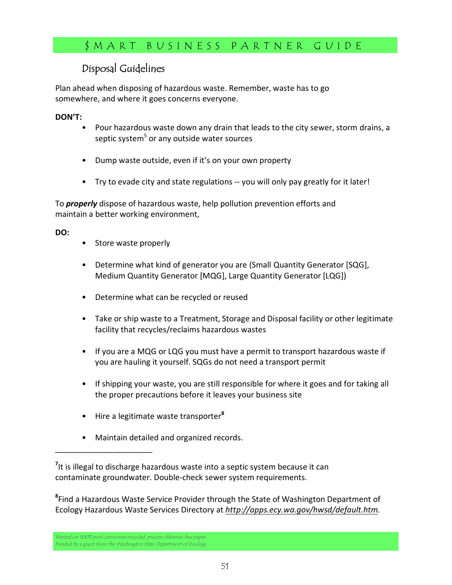### Disposal Guidelines

Plan ahead when disposing of hazardous waste. Remember, waste has to go somewhere, and where it goes concerns everyone.

#### DON'T:

- Pour hazardous waste down any drain that leads to the city sewer, storm drains, a septic system<sup>5</sup> or any outside water sources
- Dump waste outside, even if it's on your own property
- Try to evade city and state regulations -- you will only pay greatly for it later!

To *properly* dispose of hazardous waste, help pollution prevention efforts and maintain a better working environment,

#### DO:

- Store waste properly
- Determine what kind of generator you are (Small Quantity Generator [SQG], Medium Quantity Generator [MQG], Large Quantity Generator [LQG])
- Determine what can be recycled or reused
- Take or ship waste to a Treatment, Storage and Disposal facility or other legitimate facility that recycles/reclaims hazardous wastes
- If you are a MQG or LQG you must have a permit to transport hazardous waste if you are hauling it yourself. SQGs do not need a transport permit
- If shipping your waste, you are still responsible for where it goes and for taking all the proper precautions before it leaves your business site
- Hire a legitimate waste transporter<sup>8</sup>
- Maintain detailed and organized records.

<sup>8</sup>Find a Hazardous Waste Service Provider through the State of Washington Department of Ecology Hazardous Waste Services Directory at http://apps.ecy.wa.gov/hwsd/default.htm.

\_\_\_\_\_\_\_\_\_\_\_\_\_\_\_\_\_\_\_\_\_\_

<sup>&</sup>lt;sup>7</sup>It is illegal to discharge hazardous waste into a septic system because it can contaminate groundwater. Double-check sewer system requirements.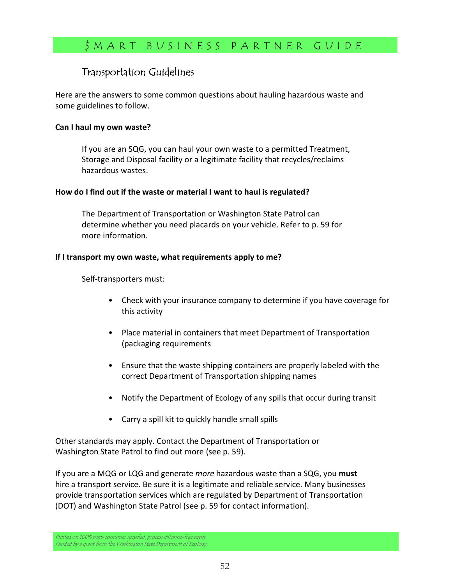### Transportation Guidelines

Here are the answers to some common questions about hauling hazardous waste and some guidelines to follow.

#### Can I haul my own waste?

If you are an SQG, you can haul your own waste to a permitted Treatment, Storage and Disposal facility or a legitimate facility that recycles/reclaims hazardous wastes.

#### How do I find out if the waste or material I want to haul is regulated?

The Department of Transportation or Washington State Patrol can determine whether you need placards on your vehicle. Refer to p. 59 for more information.

#### If I transport my own waste, what requirements apply to me?

Self-transporters must:

- Check with your insurance company to determine if you have coverage for this activity
- Place material in containers that meet Department of Transportation (packaging requirements
- Ensure that the waste shipping containers are properly labeled with the correct Department of Transportation shipping names
- Notify the Department of Ecology of any spills that occur during transit
- Carry a spill kit to quickly handle small spills

Other standards may apply. Contact the Department of Transportation or Washington State Patrol to find out more (see p. 59).

If you are a MQG or LQG and generate *more* hazardous waste than a SQG, you **must** hire a transport service. Be sure it is a legitimate and reliable service. Many businesses provide transportation services which are regulated by Department of Transportation (DOT) and Washington State Patrol (see p. 59 for contact information).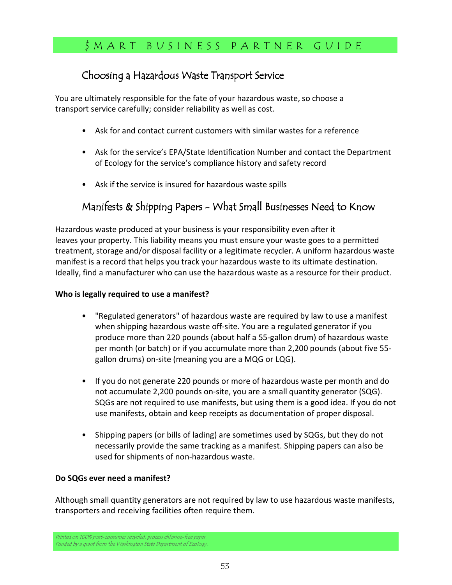### Choosing a Hazardous Waste Transport Service

You are ultimately responsible for the fate of your hazardous waste, so choose a transport service carefully; consider reliability as well as cost.

- Ask for and contact current customers with similar wastes for a reference
- Ask for the service's EPA/State Identification Number and contact the Department of Ecology for the service's compliance history and safety record
- Ask if the service is insured for hazardous waste spills

## Manifests & Shipping Papers - What Small Businesses Need to Know

Hazardous waste produced at your business is your responsibility even after it leaves your property. This liability means you must ensure your waste goes to a permitted treatment, storage and/or disposal facility or a legitimate recycler. A uniform hazardous waste manifest is a record that helps you track your hazardous waste to its ultimate destination. Ideally, find a manufacturer who can use the hazardous waste as a resource for their product.

#### Who is legally required to use a manifest?

- "Regulated generators" of hazardous waste are required by law to use a manifest when shipping hazardous waste off-site. You are a regulated generator if you produce more than 220 pounds (about half a 55-gallon drum) of hazardous waste per month (or batch) or if you accumulate more than 2,200 pounds (about five 55 gallon drums) on-site (meaning you are a MQG or LQG).
- If you do not generate 220 pounds or more of hazardous waste per month and do not accumulate 2,200 pounds on-site, you are a small quantity generator (SQG). SQGs are not required to use manifests, but using them is a good idea. If you do not use manifests, obtain and keep receipts as documentation of proper disposal.
- Shipping papers (or bills of lading) are sometimes used by SQGs, but they do not necessarily provide the same tracking as a manifest. Shipping papers can also be used for shipments of non-hazardous waste.

#### Do SQGs ever need a manifest?

Although small quantity generators are not required by law to use hazardous waste manifests, transporters and receiving facilities often require them.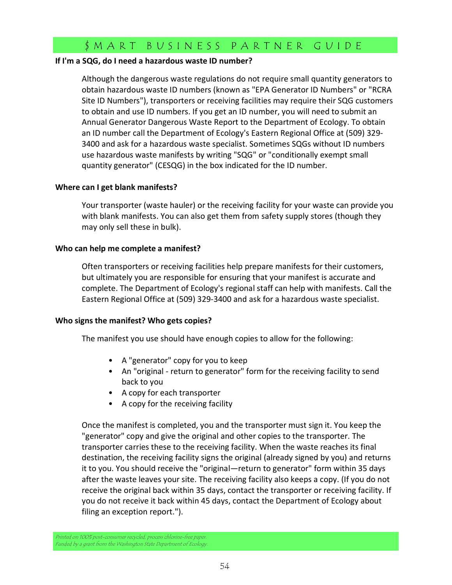#### If I'm a SQG, do I need a hazardous waste ID number?

Although the dangerous waste regulations do not require small quantity generators to obtain hazardous waste ID numbers (known as "EPA Generator ID Numbers" or "RCRA Site ID Numbers"), transporters or receiving facilities may require their SQG customers to obtain and use ID numbers. If you get an ID number, you will need to submit an Annual Generator Dangerous Waste Report to the Department of Ecology. To obtain an ID number call the Department of Ecology's Eastern Regional Office at (509) 329- 3400 and ask for a hazardous waste specialist. Sometimes SQGs without ID numbers use hazardous waste manifests by writing "SQG" or "conditionally exempt small quantity generator" (CESQG) in the box indicated for the ID number.

#### Where can I get blank manifests?

Your transporter (waste hauler) or the receiving facility for your waste can provide you with blank manifests. You can also get them from safety supply stores (though they may only sell these in bulk).

#### Who can help me complete a manifest?

Often transporters or receiving facilities help prepare manifests for their customers, but ultimately you are responsible for ensuring that your manifest is accurate and complete. The Department of Ecology's regional staff can help with manifests. Call the Eastern Regional Office at (509) 329-3400 and ask for a hazardous waste specialist.

#### Who signs the manifest? Who gets copies?

The manifest you use should have enough copies to allow for the following:

- A "generator" copy for you to keep
- An "original return to generator" form for the receiving facility to send back to you
- A copy for each transporter
- A copy for the receiving facility

Once the manifest is completed, you and the transporter must sign it. You keep the "generator" copy and give the original and other copies to the transporter. The transporter carries these to the receiving facility. When the waste reaches its final destination, the receiving facility signs the original (already signed by you) and returns it to you. You should receive the "original—return to generator" form within 35 days after the waste leaves your site. The receiving facility also keeps a copy. (If you do not receive the original back within 35 days, contact the transporter or receiving facility. If you do not receive it back within 45 days, contact the Department of Ecology about filing an exception report.").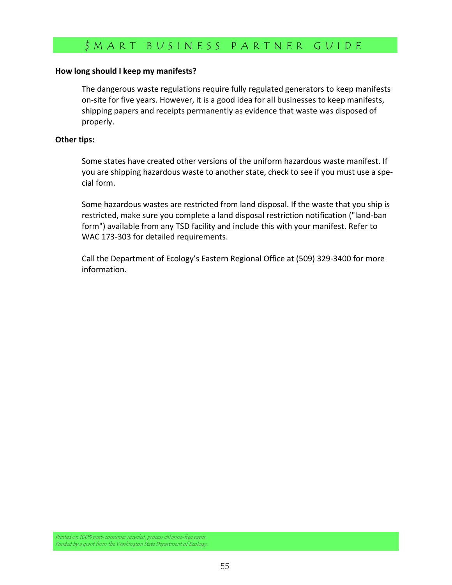#### How long should I keep my manifests?

The dangerous waste regulations require fully regulated generators to keep manifests on-site for five years. However, it is a good idea for all businesses to keep manifests, shipping papers and receipts permanently as evidence that waste was disposed of properly.

#### Other tips:

Some states have created other versions of the uniform hazardous waste manifest. If you are shipping hazardous waste to another state, check to see if you must use a special form.

Some hazardous wastes are restricted from land disposal. If the waste that you ship is restricted, make sure you complete a land disposal restriction notification ("land-ban form") available from any TSD facility and include this with your manifest. Refer to WAC 173-303 for detailed requirements.

Call the Department of Ecology's Eastern Regional Office at (509) 329-3400 for more information.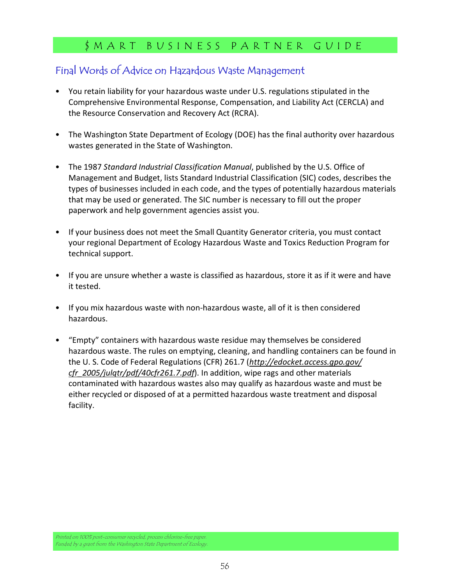### Final Words of Advice on Hazardous Waste Management

- You retain liability for your hazardous waste under U.S. regulations stipulated in the Comprehensive Environmental Response, Compensation, and Liability Act (CERCLA) and the Resource Conservation and Recovery Act (RCRA).
- The Washington State Department of Ecology (DOE) has the final authority over hazardous wastes generated in the State of Washington.
- The 1987 Standard Industrial Classification Manual, published by the U.S. Office of Management and Budget, lists Standard Industrial Classification (SIC) codes, describes the types of businesses included in each code, and the types of potentially hazardous materials that may be used or generated. The SIC number is necessary to fill out the proper paperwork and help government agencies assist you.
- If your business does not meet the Small Quantity Generator criteria, you must contact your regional Department of Ecology Hazardous Waste and Toxics Reduction Program for technical support.
- If you are unsure whether a waste is classified as hazardous, store it as if it were and have it tested.
- If you mix hazardous waste with non-hazardous waste, all of it is then considered hazardous.
- "Empty" containers with hazardous waste residue may themselves be considered hazardous waste. The rules on emptying, cleaning, and handling containers can be found in the U. S. Code of Federal Regulations (CFR) 261.7 (http://edocket.access.gpo.gov/ cfr\_2005/julqtr/pdf/40cfr261.7.pdf). In addition, wipe rags and other materials contaminated with hazardous wastes also may qualify as hazardous waste and must be either recycled or disposed of at a permitted hazardous waste treatment and disposal facility.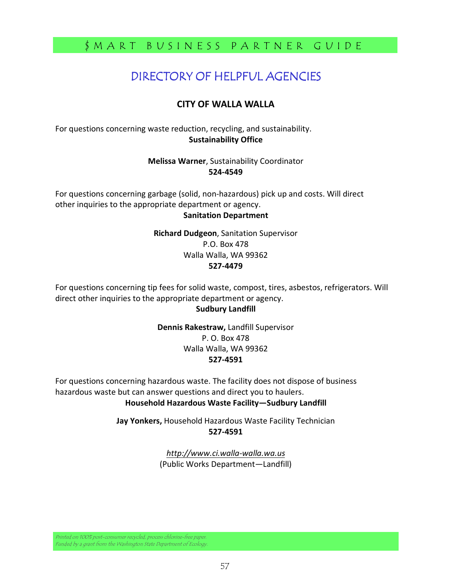# DIRECTORY OF HELPFUL AGENCIES

### CITY OF WALLA WALLA

For questions concerning waste reduction, recycling, and sustainability. Sustainability Office

> Melissa Warner, Sustainability Coordinator 524-4549

For questions concerning garbage (solid, non-hazardous) pick up and costs. Will direct other inquiries to the appropriate department or agency.

#### Sanitation Department

Richard Dudgeon, Sanitation Supervisor P.O. Box 478 Walla Walla, WA 99362 527-4479

For questions concerning tip fees for solid waste, compost, tires, asbestos, refrigerators. Will direct other inquiries to the appropriate department or agency.

#### Sudbury Landfill

Dennis Rakestraw, Landfill Supervisor P. O. Box 478 Walla Walla, WA 99362 527-4591

For questions concerning hazardous waste. The facility does not dispose of business hazardous waste but can answer questions and direct you to haulers. Household Hazardous Waste Facility—Sudbury Landfill

> Jay Yonkers, Household Hazardous Waste Facility Technician 527-4591

> > http://www.ci.walla-walla.wa.us (Public Works Department—Landfill)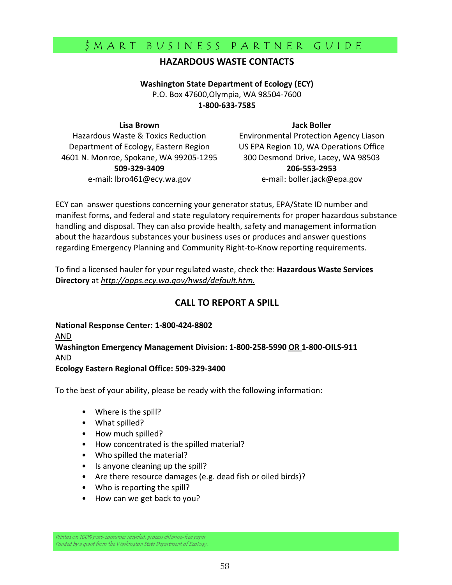### HAZARDOUS WASTE CONTACTS

Washington State Department of Ecology (ECY) P.O. Box 47600,Olympia, WA 98504-7600 1-800-633-7585

#### Lisa Brown

Jack Boller

Hazardous Waste & Toxics Reduction Department of Ecology, Eastern Region 4601 N. Monroe, Spokane, WA 99205-1295 509-329-3409 e-mail: lbro461@ecy.wa.gov

Environmental Protection Agency Liason US EPA Region 10, WA Operations Office 300 Desmond Drive, Lacey, WA 98503 206-553-2953 e-mail: boller.jack@epa.gov

ECY can answer questions concerning your generator status, EPA/State ID number and manifest forms, and federal and state regulatory requirements for proper hazardous substance handling and disposal. They can also provide health, safety and management information about the hazardous substances your business uses or produces and answer questions regarding Emergency Planning and Community Right-to-Know reporting requirements.

To find a licensed hauler for your regulated waste, check the: Hazardous Waste Services Directory at http://apps.ecy.wa.gov/hwsd/default.htm.

### CALL TO REPORT A SPILL

National Response Center: 1-800-424-8802 AND Washington Emergency Management Division: 1-800-258-5990 OR 1-800-OILS-911 AND

Ecology Eastern Regional Office: 509-329-3400

To the best of your ability, please be ready with the following information:

- Where is the spill?
- What spilled?
- How much spilled?
- How concentrated is the spilled material?
- Who spilled the material?
- Is anyone cleaning up the spill?
- Are there resource damages (e.g. dead fish or oiled birds)?
- Who is reporting the spill?
- How can we get back to you?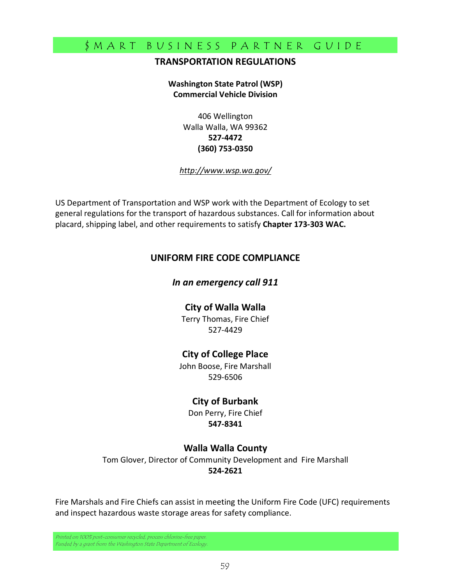#### TRANSPORTATION REGULATIONS

#### Washington State Patrol (WSP) Commercial Vehicle Division

406 Wellington Walla Walla, WA 99362 527-4472 (360) 753-0350

#### http://www.wsp.wa.gov/

US Department of Transportation and WSP work with the Department of Ecology to set general regulations for the transport of hazardous substances. Call for information about placard, shipping label, and other requirements to satisfy Chapter 173-303 WAC.

#### UNIFORM FIRE CODE COMPLIANCE

#### In an emergency call 911

#### City of Walla Walla

Terry Thomas, Fire Chief 527-4429

#### City of College Place

John Boose, Fire Marshall 529-6506

#### City of Burbank

Don Perry, Fire Chief 547-8341

#### Walla Walla County

Tom Glover, Director of Community Development and Fire Marshall 524-2621

Fire Marshals and Fire Chiefs can assist in meeting the Uniform Fire Code (UFC) requirements and inspect hazardous waste storage areas for safety compliance.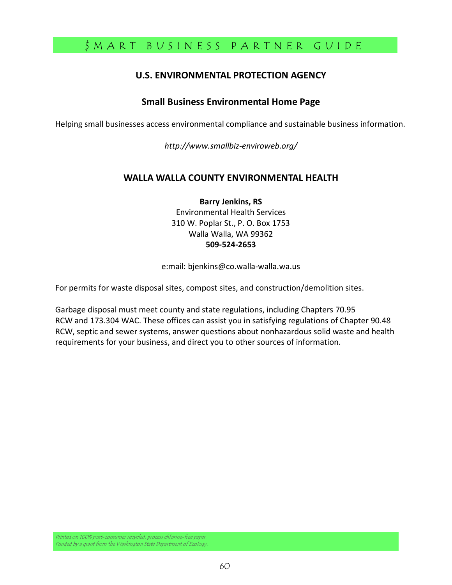### U.S. ENVIRONMENTAL PROTECTION AGENCY

#### Small Business Environmental Home Page

Helping small businesses access environmental compliance and sustainable business information.

http://www.smallbiz-enviroweb.org/

### WALLA WALLA COUNTY ENVIRONMENTAL HEALTH

Barry Jenkins, RS Environmental Health Services 310 W. Poplar St., P. O. Box 1753 Walla Walla, WA 99362 509-524-2653

e:mail: bjenkins@co.walla-walla.wa.us

For permits for waste disposal sites, compost sites, and construction/demolition sites.

Garbage disposal must meet county and state regulations, including Chapters 70.95 RCW and 173.304 WAC. These offices can assist you in satisfying regulations of Chapter 90.48 RCW, septic and sewer systems, answer questions about nonhazardous solid waste and health requirements for your business, and direct you to other sources of information.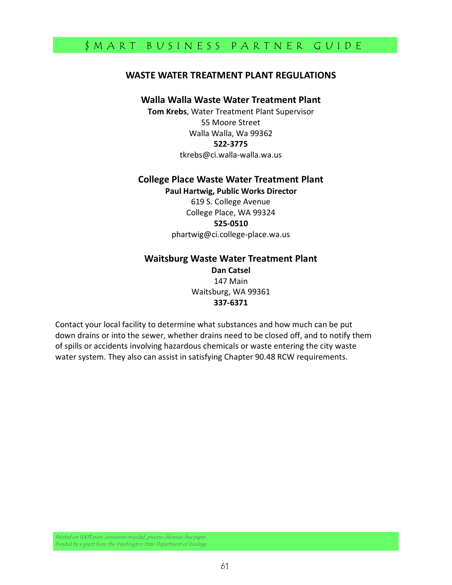#### WASTE WATER TREATMENT PLANT REGULATIONS

#### Walla Walla Waste Water Treatment Plant

Tom Krebs, Water Treatment Plant Supervisor 55 Moore Street Walla Walla, Wa 99362 522-3775 tkrebs@ci.walla-walla.wa.us

## College Place Waste Water Treatment Plant

Paul Hartwig, Public Works Director 619 S. College Avenue College Place, WA 99324 525-0510 phartwig@ci.college-place.wa.us

#### Waitsburg Waste Water Treatment Plant Dan Catsel 147 Main Waitsburg, WA 99361 337-6371

Contact your local facility to determine what substances and how much can be put down drains or into the sewer, whether drains need to be closed off, and to notify them of spills or accidents involving hazardous chemicals or waste entering the city waste water system. They also can assist in satisfying Chapter 90.48 RCW requirements.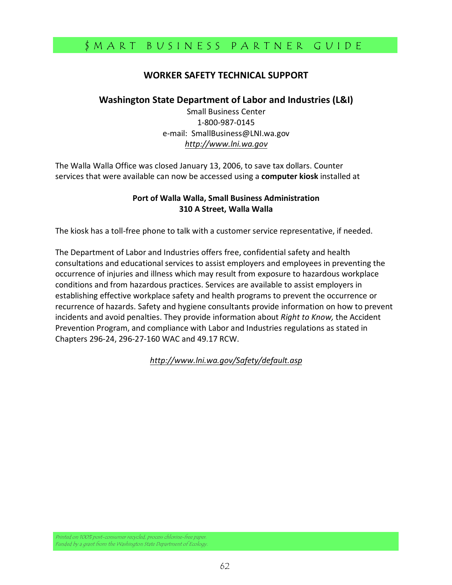### WORKER SAFETY TECHNICAL SUPPORT

#### Washington State Department of Labor and Industries (L&I)

Small Business Center 1-800-987-0145 e-mail: SmallBusiness@LNI.wa.gov http://www.lni.wa.gov

The Walla Walla Office was closed January 13, 2006, to save tax dollars. Counter services that were available can now be accessed using a computer kiosk installed at

#### Port of Walla Walla, Small Business Administration 310 A Street, Walla Walla

The kiosk has a toll-free phone to talk with a customer service representative, if needed.

The Department of Labor and Industries offers free, confidential safety and health consultations and educational services to assist employers and employees in preventing the occurrence of injuries and illness which may result from exposure to hazardous workplace conditions and from hazardous practices. Services are available to assist employers in establishing effective workplace safety and health programs to prevent the occurrence or recurrence of hazards. Safety and hygiene consultants provide information on how to prevent incidents and avoid penalties. They provide information about Right to Know, the Accident Prevention Program, and compliance with Labor and Industries regulations as stated in Chapters 296-24, 296-27-160 WAC and 49.17 RCW.

http://www.lni.wa.gov/Safety/default.asp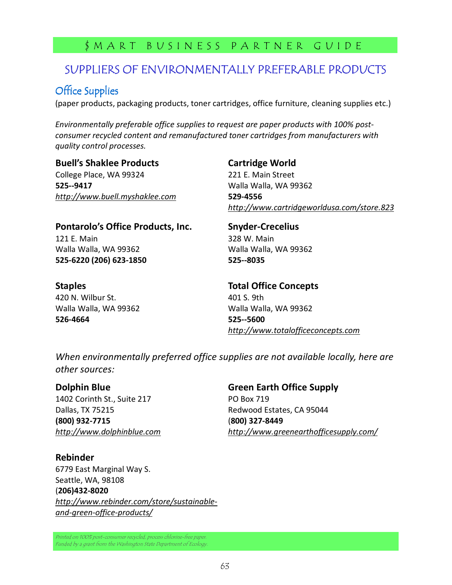# SUPPLIERS OF ENVIRONMENTALLY PREFERABLE PRODUCTS

## Office Supplies

(paper products, packaging products, toner cartridges, office furniture, cleaning supplies etc.)

Environmentally preferable office supplies to request are paper products with 100% postconsumer recycled content and remanufactured toner cartridges from manufacturers with quality control processes.

#### Buell's Shaklee Products

College Place, WA 99324 525--9417 http://www.buell.myshaklee.com

### Cartridge World

221 E. Main Street Walla Walla, WA 99362 529-4556 http://www.cartridgeworldusa.com/store.823

### Pontarolo's Office Products, Inc.

121 E. Main Walla Walla, WA 99362 525-6220 (206) 623-1850

### **Staples**

420 N. Wilbur St. Walla Walla, WA 99362 526-4664

Snyder-Crecelius 328 W. Main Walla Walla, WA 99362 525--8035

Total Office Concepts 401 S. 9th Walla Walla, WA 99362 525--5600 http://www.totalofficeconcepts.com

When environmentally preferred office supplies are not available locally, here are other sources:

#### Dolphin Blue

1402 Corinth St., Suite 217 Dallas, TX 75215 (800) 932-7715 http://www.dolphinblue.com Green Earth Office Supply PO Box 719 Redwood Estates, CA 95044 (800) 327-8449 http://www.greenearthofficesupply.com/

#### Rebinder

6779 East Marginal Way S. Seattle, WA, 98108 (206)432-8020 http://www.rebinder.com/store/sustainableand-green-office-products/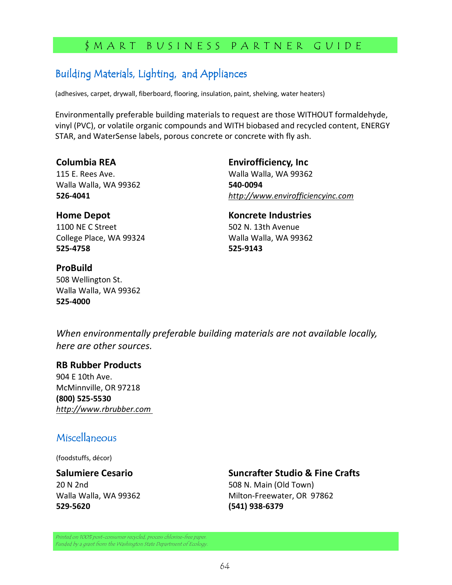# Building Materials, Lighting, and Appliances

(adhesives, carpet, drywall, fiberboard, flooring, insulation, paint, shelving, water heaters)

Environmentally preferable building materials to request are those WITHOUT formaldehyde, vinyl (PVC), or volatile organic compounds and WITH biobased and recycled content, ENERGY STAR, and WaterSense labels, porous concrete or concrete with fly ash.

#### Columbia REA

115 E. Rees Ave. Walla Walla, WA 99362 526-4041

### Home Depot

1100 NE C Street College Place, WA 99324 525-4758

Envirofficiency, Inc Walla Walla, WA 99362 540-0094 http://www.envirofficiencyinc.com

#### Koncrete Industries 502 N. 13th Avenue Walla Walla, WA 99362 525-9143

ProBuild 508 Wellington St. Walla Walla, WA 99362 525-4000

When environmentally preferable building materials are not available locally, here are other sources.

#### RB Rubber Products

904 E 10th Ave. McMinnville, OR 97218 (800) 525-5530 http://www.rbrubber.com

### Miscellaneous

(foodstuffs, décor)

#### Salumiere Cesario 20 N 2nd Walla Walla, WA 99362 529-5620

Suncrafter Studio & Fine Crafts

508 N. Main (Old Town) Milton-Freewater, OR 97862 (541) 938-6379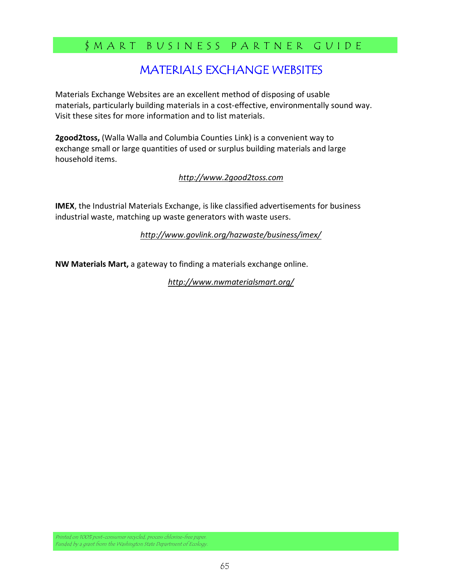# MATERIALS EXCHANGE WEBSITES

Materials Exchange Websites are an excellent method of disposing of usable materials, particularly building materials in a cost-effective, environmentally sound way. Visit these sites for more information and to list materials.

2good2toss, (Walla Walla and Columbia Counties Link) is a convenient way to exchange small or large quantities of used or surplus building materials and large household items.

#### http://www.2good2toss.com

IMEX, the Industrial Materials Exchange, is like classified advertisements for business industrial waste, matching up waste generators with waste users.

http://www.govlink.org/hazwaste/business/imex/

NW Materials Mart, a gateway to finding a materials exchange online.

http://www.nwmaterialsmart.org/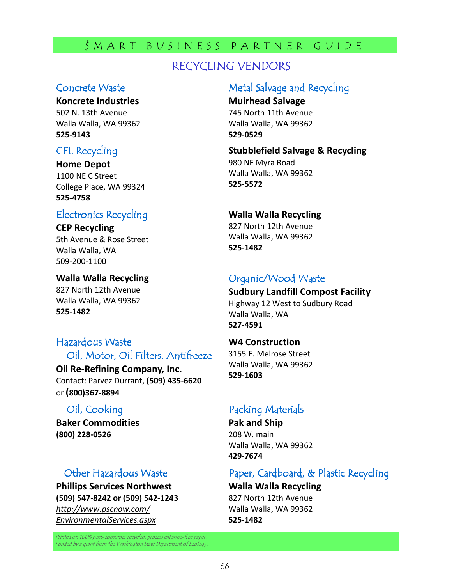# RECYCLING VENDORS

### Concrete Waste

#### Koncrete Industries

502 N. 13th Avenue Walla Walla, WA 99362 525-9143

### CFL Recycling

Home Depot

1100 NE C Street College Place, WA 99324 525-4758

## Electronics Recycling Electronics Recycling

CEP Recycling 5th Avenue & Rose Street Walla Walla, WA 509-200-1100

Walla Walla Recycling 827 North 12th Avenue Walla Walla, WA 99362 525-1482

### Hazardous Waste Oil, Motor, Oil Filters, Antifreeze

Oil Re-Refining Company, Inc. Contact: Parvez Durrant, (509) 435-6620

### Oil, Cooking

or (800)367-8894

Baker Commodities (800) 228-0526

### Other Hazardous Waste

Phillips Services Northwest (509) 547-8242 or (509) 542-1243 http://www.pscnow.com/ EnvironmentalServices.aspx

Printed on 100% post-consumer recycled, process chlorine-free paper. Funded by a grant from the Washington State Department of Ecology.

# Metal Salvage and Recycling

Muirhead Salvage 745 North 11th Avenue Walla Walla, WA 99362 529-0529

Stubblefield Salvage & Recycling 980 NE Myra Road Walla Walla, WA 99362 525-5572

### Walla Walla Recycling

827 North 12th Avenue Walla Walla, WA 99362 525-1482

### Organic/Wood Waste

Sudbury Landfill Compost Facility Highway 12 West to Sudbury Road Walla Walla, WA 527-4591

W4 Construction 3155 E. Melrose Street Walla Walla, WA 99362 529-1603

### Packing Materials

Pak and Ship 208 W. main Walla Walla, WA 99362 429-7674

### Paper, Cardboard, & Plastic Recycling

Walla Walla Recycling

827 North 12th Avenue Walla Walla, WA 99362 525-1482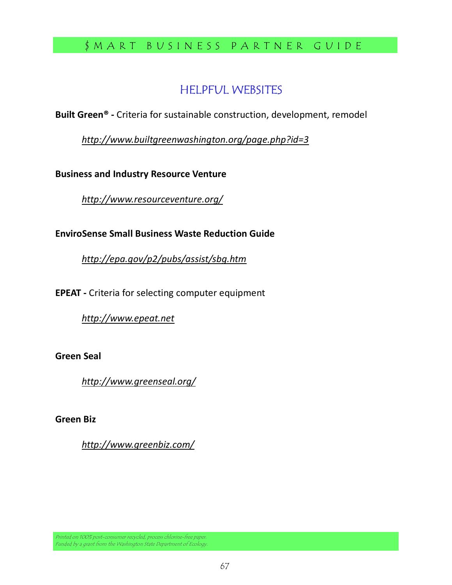# \$ M A R T B U S I N E S S P A R T N E R G U I D E

# **HELPFUL WEBSITES**

Built Green® - Criteria for sustainable construction, development, remodel

http://www.builtgreenwashington.org/page.php?id=3

Business and Industry Resource Venture

http://www.resourceventure.org/

EnviroSense Small Business Waste Reduction Guide

http://epa.gov/p2/pubs/assist/sbg.htm

EPEAT - Criteria for selecting computer equipment

http://www.epeat.net

Green Seal

http://www.greenseal.org/

Green Biz

http://www.greenbiz.com/